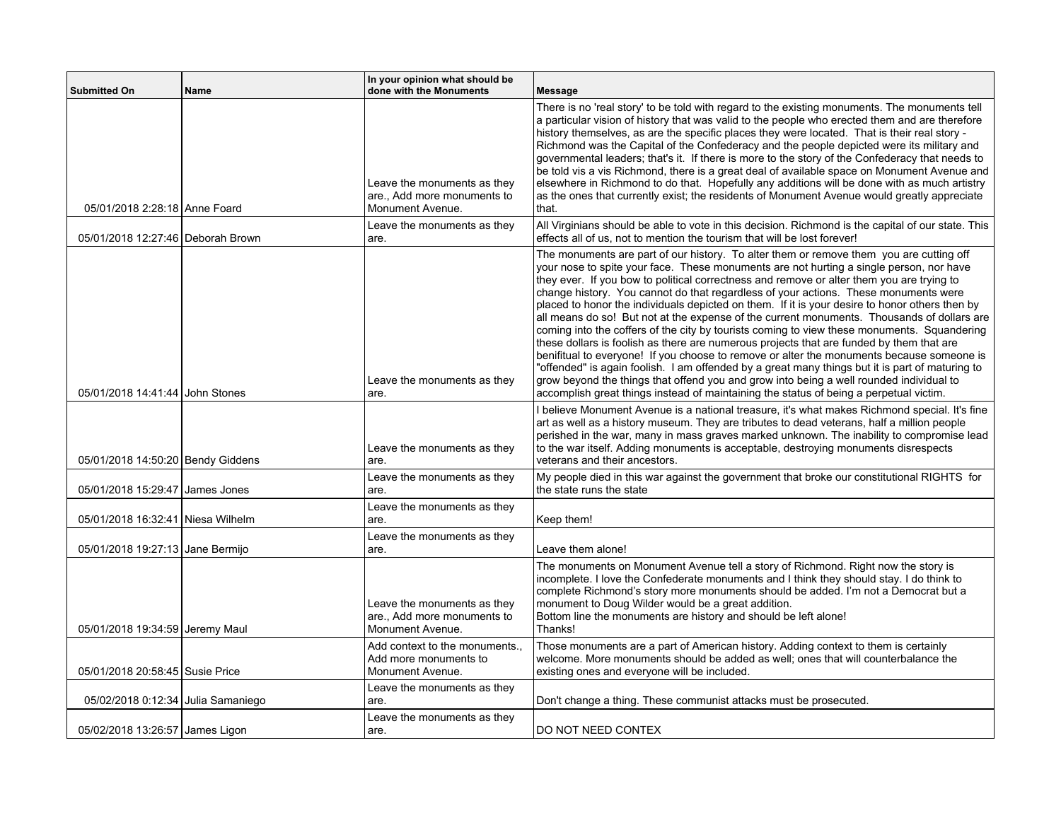| <b>Submitted On</b>                | <b>Name</b> | In your opinion what should be<br>done with the Monuments                      | <b>Message</b>                                                                                                                                                                                                                                                                                                                                                                                                                                                                                                                                                                                                                                                                                                                                                                                                                                                                                                                                                                                                                                                                                                                                         |
|------------------------------------|-------------|--------------------------------------------------------------------------------|--------------------------------------------------------------------------------------------------------------------------------------------------------------------------------------------------------------------------------------------------------------------------------------------------------------------------------------------------------------------------------------------------------------------------------------------------------------------------------------------------------------------------------------------------------------------------------------------------------------------------------------------------------------------------------------------------------------------------------------------------------------------------------------------------------------------------------------------------------------------------------------------------------------------------------------------------------------------------------------------------------------------------------------------------------------------------------------------------------------------------------------------------------|
| 05/01/2018 2:28:18 Anne Foard      |             | Leave the monuments as they<br>are., Add more monuments to<br>Monument Avenue. | There is no 'real story' to be told with regard to the existing monuments. The monuments tell<br>a particular vision of history that was valid to the people who erected them and are therefore<br>history themselves, as are the specific places they were located. That is their real story -<br>Richmond was the Capital of the Confederacy and the people depicted were its military and<br>governmental leaders; that's it. If there is more to the story of the Confederacy that needs to<br>be told vis a vis Richmond, there is a great deal of available space on Monument Avenue and<br>elsewhere in Richmond to do that. Hopefully any additions will be done with as much artistry<br>as the ones that currently exist; the residents of Monument Avenue would greatly appreciate<br>that.                                                                                                                                                                                                                                                                                                                                                 |
| 05/01/2018 12:27:46 Deborah Brown  |             | Leave the monuments as they<br>are.                                            | All Virginians should be able to vote in this decision. Richmond is the capital of our state. This<br>effects all of us, not to mention the tourism that will be lost forever!                                                                                                                                                                                                                                                                                                                                                                                                                                                                                                                                                                                                                                                                                                                                                                                                                                                                                                                                                                         |
| 05/01/2018 14:41:44 John Stones    |             | Leave the monuments as they<br>are.                                            | The monuments are part of our history. To alter them or remove them you are cutting off<br>your nose to spite your face. These monuments are not hurting a single person, nor have<br>they ever. If you bow to political correctness and remove or alter them you are trying to<br>change history. You cannot do that regardless of your actions. These monuments were<br>placed to honor the individuals depicted on them. If it is your desire to honor others then by<br>all means do so! But not at the expense of the current monuments. Thousands of dollars are<br>coming into the coffers of the city by tourists coming to view these monuments. Squandering<br>these dollars is foolish as there are numerous projects that are funded by them that are<br>benifitual to everyone! If you choose to remove or alter the monuments because someone is<br>"offended" is again foolish. I am offended by a great many things but it is part of maturing to<br>grow beyond the things that offend you and grow into being a well rounded individual to<br>accomplish great things instead of maintaining the status of being a perpetual victim. |
| 05/01/2018 14:50:20 Bendy Giddens  |             | Leave the monuments as they<br>are.                                            | I believe Monument Avenue is a national treasure, it's what makes Richmond special. It's fine<br>art as well as a history museum. They are tributes to dead veterans, half a million people<br>perished in the war, many in mass graves marked unknown. The inability to compromise lead<br>to the war itself. Adding monuments is acceptable, destroying monuments disrespects<br>veterans and their ancestors.                                                                                                                                                                                                                                                                                                                                                                                                                                                                                                                                                                                                                                                                                                                                       |
| 05/01/2018 15:29:47 James Jones    |             | Leave the monuments as they<br>are.                                            | My people died in this war against the government that broke our constitutional RIGHTS for<br>the state runs the state                                                                                                                                                                                                                                                                                                                                                                                                                                                                                                                                                                                                                                                                                                                                                                                                                                                                                                                                                                                                                                 |
| 05/01/2018 16:32:41 Niesa Wilhelm  |             | Leave the monuments as they<br>are.                                            | Keep them!                                                                                                                                                                                                                                                                                                                                                                                                                                                                                                                                                                                                                                                                                                                                                                                                                                                                                                                                                                                                                                                                                                                                             |
| 05/01/2018 19:27:13 Jane Bermijo   |             | Leave the monuments as they<br>are.                                            | Leave them alone!                                                                                                                                                                                                                                                                                                                                                                                                                                                                                                                                                                                                                                                                                                                                                                                                                                                                                                                                                                                                                                                                                                                                      |
| 05/01/2018 19:34:59 Jeremy Maul    |             | Leave the monuments as they<br>are Add more monuments to<br>Monument Avenue.   | The monuments on Monument Avenue tell a story of Richmond. Right now the story is<br>incomplete. I love the Confederate monuments and I think they should stay. I do think to<br>complete Richmond's story more monuments should be added. I'm not a Democrat but a<br>monument to Doug Wilder would be a great addition.<br>Bottom line the monuments are history and should be left alone!<br>Thanks!                                                                                                                                                                                                                                                                                                                                                                                                                                                                                                                                                                                                                                                                                                                                                |
| 05/01/2018 20:58:45 Susie Price    |             | Add context to the monuments.,<br>Add more monuments to<br>Monument Avenue.    | Those monuments are a part of American history. Adding context to them is certainly<br>welcome. More monuments should be added as well; ones that will counterbalance the<br>existing ones and everyone will be included.                                                                                                                                                                                                                                                                                                                                                                                                                                                                                                                                                                                                                                                                                                                                                                                                                                                                                                                              |
| 05/02/2018 0:12:34 Julia Samaniego |             | Leave the monuments as they<br>are.                                            | Don't change a thing. These communist attacks must be prosecuted.                                                                                                                                                                                                                                                                                                                                                                                                                                                                                                                                                                                                                                                                                                                                                                                                                                                                                                                                                                                                                                                                                      |
| 05/02/2018 13:26:57 James Ligon    |             | Leave the monuments as they<br>are.                                            | DO NOT NEED CONTEX                                                                                                                                                                                                                                                                                                                                                                                                                                                                                                                                                                                                                                                                                                                                                                                                                                                                                                                                                                                                                                                                                                                                     |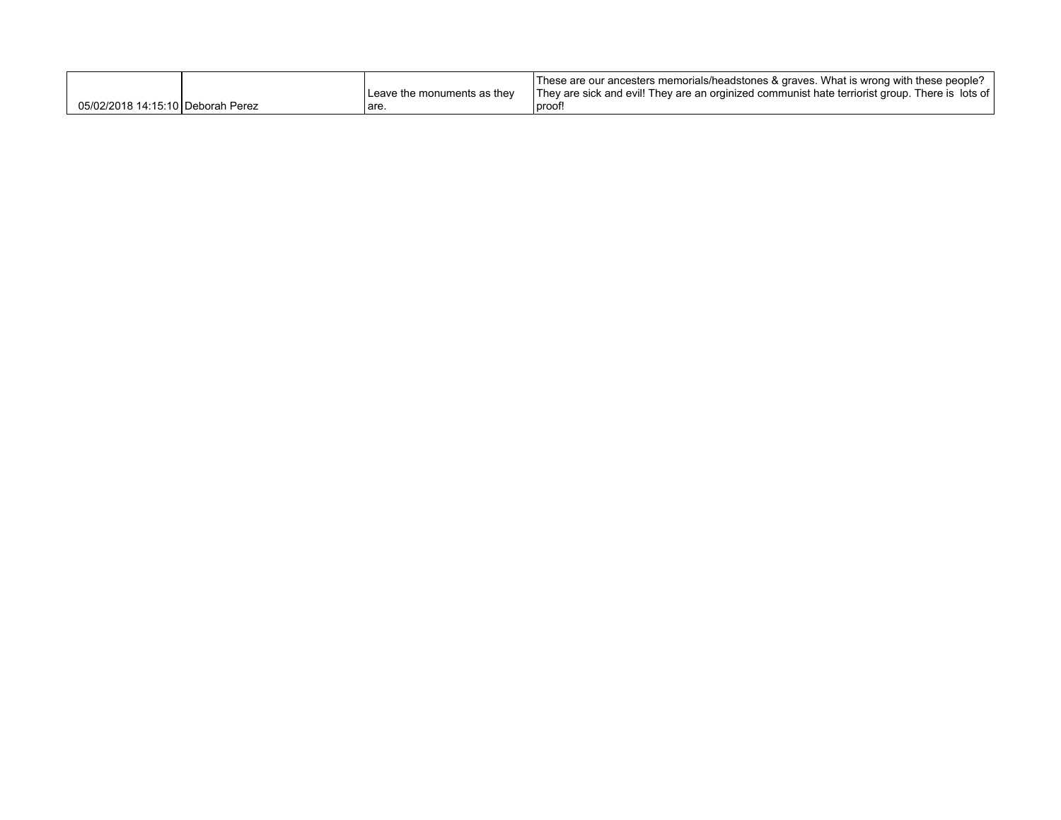|                                   |                               | These are our ancesters memorials/headstones & graves. What is wrong with these people?         |
|-----------------------------------|-------------------------------|-------------------------------------------------------------------------------------------------|
|                                   | I Leave the monuments as they | They are sick and evil! They are an orginized communist hate terriorist group. There is lots of |
| 05/02/2018 14:15:10 Deborah Perez | are                           | proof!                                                                                          |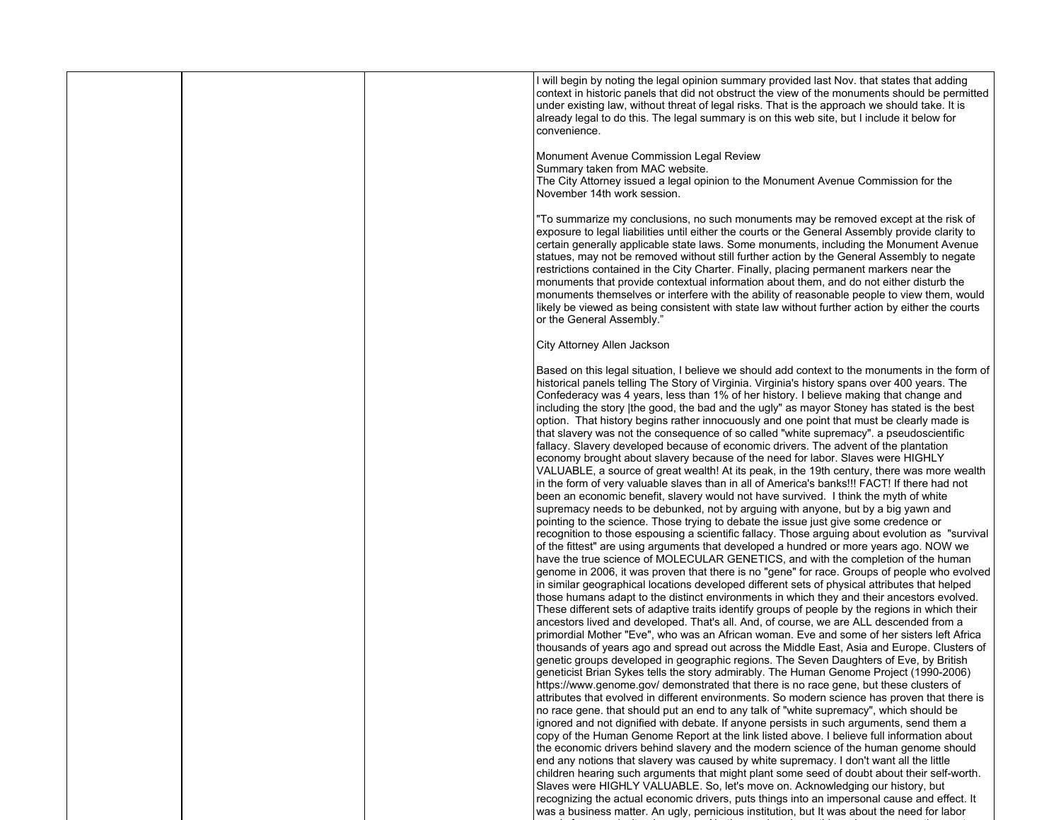| I will begin by noting the legal opinion summary provided last Nov. that states that adding<br>context in historic panels that did not obstruct the view of the monuments should be permitted<br>under existing law, without threat of legal risks. That is the approach we should take. It is<br>already legal to do this. The legal summary is on this web site, but I include it below for<br>convenience.<br>Monument Avenue Commission Legal Review<br>Summary taken from MAC website.<br>The City Attorney issued a legal opinion to the Monument Avenue Commission for the<br>November 14th work session.                                                                                                                                                                                                                                                                                                                                                                                                                                                                                                                                                                                                        |                                                                                                                                                                                                   |
|-------------------------------------------------------------------------------------------------------------------------------------------------------------------------------------------------------------------------------------------------------------------------------------------------------------------------------------------------------------------------------------------------------------------------------------------------------------------------------------------------------------------------------------------------------------------------------------------------------------------------------------------------------------------------------------------------------------------------------------------------------------------------------------------------------------------------------------------------------------------------------------------------------------------------------------------------------------------------------------------------------------------------------------------------------------------------------------------------------------------------------------------------------------------------------------------------------------------------|---------------------------------------------------------------------------------------------------------------------------------------------------------------------------------------------------|
|                                                                                                                                                                                                                                                                                                                                                                                                                                                                                                                                                                                                                                                                                                                                                                                                                                                                                                                                                                                                                                                                                                                                                                                                                         |                                                                                                                                                                                                   |
|                                                                                                                                                                                                                                                                                                                                                                                                                                                                                                                                                                                                                                                                                                                                                                                                                                                                                                                                                                                                                                                                                                                                                                                                                         |                                                                                                                                                                                                   |
| "To summarize my conclusions, no such monuments may be removed except at the risk of<br>exposure to legal liabilities until either the courts or the General Assembly provide clarity to<br>certain generally applicable state laws. Some monuments, including the Monument Avenue<br>statues, may not be removed without still further action by the General Assembly to negate<br>restrictions contained in the City Charter. Finally, placing permanent markers near the<br>monuments that provide contextual information about them, and do not either disturb the<br>monuments themselves or interfere with the ability of reasonable people to view them, would<br>likely be viewed as being consistent with state law without further action by either the courts<br>or the General Assembly."                                                                                                                                                                                                                                                                                                                                                                                                                   |                                                                                                                                                                                                   |
| City Attorney Allen Jackson                                                                                                                                                                                                                                                                                                                                                                                                                                                                                                                                                                                                                                                                                                                                                                                                                                                                                                                                                                                                                                                                                                                                                                                             |                                                                                                                                                                                                   |
| historical panels telling The Story of Virginia. Virginia's history spans over 400 years. The<br>Confederacy was 4 years, less than 1% of her history. I believe making that change and<br>including the story  the good, the bad and the ugly" as mayor Stoney has stated is the best<br>option. That history begins rather innocuously and one point that must be clearly made is<br>that slavery was not the consequence of so called "white supremacy", a pseudoscientific<br>fallacy. Slavery developed because of economic drivers. The advent of the plantation<br>economy brought about slavery because of the need for labor. Slaves were HIGHLY<br>VALUABLE, a source of great wealth! At its peak, in the 19th century, there was more wealth<br>in the form of very valuable slaves than in all of America's banks!!! FACT! If there had not<br>been an economic benefit, slavery would not have survived. I think the myth of white<br>supremacy needs to be debunked, not by arguing with anyone, but by a big yawn and<br>pointing to the science. Those trying to debate the issue just give some credence or<br>of the fittest" are using arguments that developed a hundred or more years ago. NOW we | Based on this legal situation, I believe we should add context to the monuments in the form of<br>recognition to those espousing a scientific fallacy. Those arguing about evolution as "survival |
| have the true science of MOLECULAR GENETICS, and with the completion of the human<br>in similar geographical locations developed different sets of physical attributes that helped<br>those humans adapt to the distinct environments in which they and their ancestors evolved.<br>These different sets of adaptive traits identify groups of people by the regions in which their<br>ancestors lived and developed. That's all. And, of course, we are ALL descended from a<br>primordial Mother "Eve", who was an African woman. Eve and some of her sisters left Africa<br>thousands of years ago and spread out across the Middle East, Asia and Europe. Clusters of<br>genetic groups developed in geographic regions. The Seven Daughters of Eve, by British<br>geneticist Brian Sykes tells the story admirably. The Human Genome Project (1990-2006)                                                                                                                                                                                                                                                                                                                                                           | genome in 2006, it was proven that there is no "gene" for race. Groups of people who evolved                                                                                                      |
| https://www.genome.gov/ demonstrated that there is no race gene, but these clusters of<br>attributes that evolved in different environments. So modern science has proven that there is<br>no race gene. that should put an end to any talk of "white supremacy", which should be<br>ignored and not dignified with debate. If anyone persists in such arguments, send them a<br>copy of the Human Genome Report at the link listed above. I believe full information about<br>the economic drivers behind slavery and the modern science of the human genome should<br>end any notions that slavery was caused by white supremacy. I don't want all the little<br>children hearing such arguments that might plant some seed of doubt about their self-worth.<br>Slaves were HIGHLY VALUABLE. So, let's move on. Acknowledging our history, but<br>recognizing the actual economic drivers, puts things into an impersonal cause and effect. It<br>was a business matter. An ugly, pernicious institution, but It was about the need for labor                                                                                                                                                                         |                                                                                                                                                                                                   |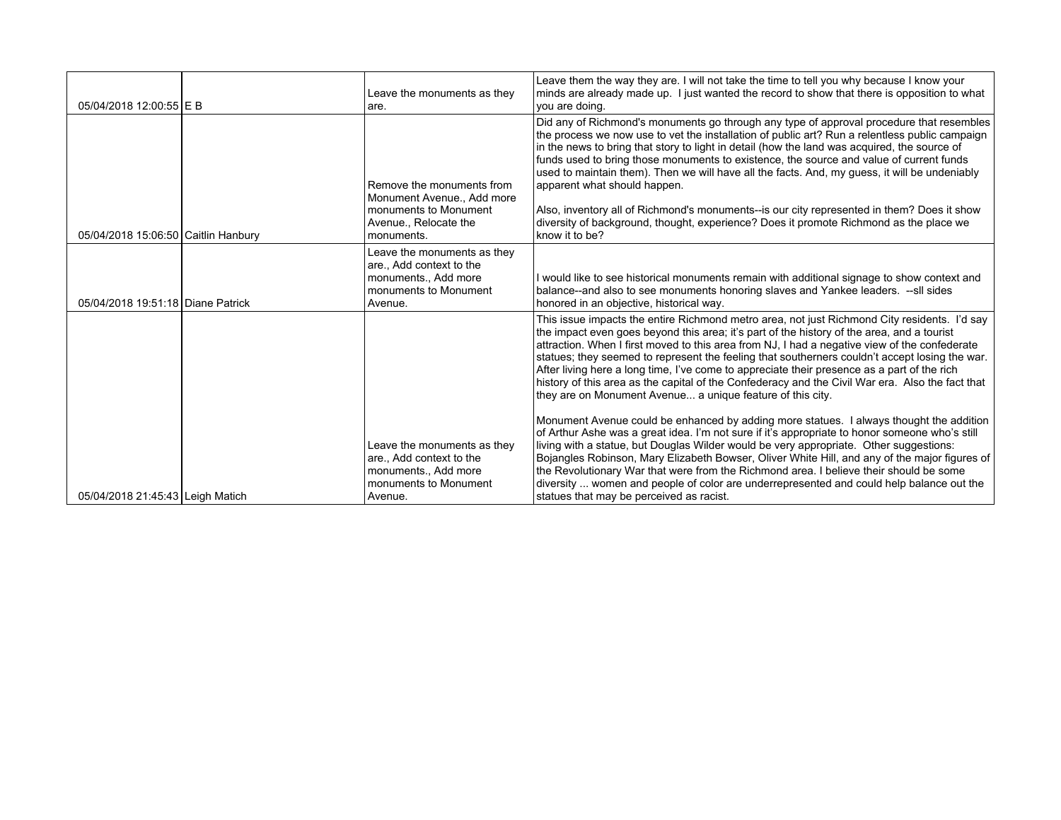| 05/04/2018 12:00:55 E B             | Leave the monuments as they<br>are.                                                                                     | Leave them the way they are. I will not take the time to tell you why because I know your<br>minds are already made up. I just wanted the record to show that there is opposition to what<br>vou are doing.                                                                                                                                                                                                                                                                                                                                                                                                                                                                                                                      |
|-------------------------------------|-------------------------------------------------------------------------------------------------------------------------|----------------------------------------------------------------------------------------------------------------------------------------------------------------------------------------------------------------------------------------------------------------------------------------------------------------------------------------------------------------------------------------------------------------------------------------------------------------------------------------------------------------------------------------------------------------------------------------------------------------------------------------------------------------------------------------------------------------------------------|
| 05/04/2018 15:06:50 Caitlin Hanbury | Remove the monuments from<br>Monument Avenue., Add more<br>monuments to Monument<br>Avenue., Relocate the<br>monuments. | Did any of Richmond's monuments go through any type of approval procedure that resembles<br>the process we now use to vet the installation of public art? Run a relentless public campaign<br>in the news to bring that story to light in detail (how the land was acquired, the source of<br>funds used to bring those monuments to existence, the source and value of current funds<br>used to maintain them). Then we will have all the facts. And, my quess, it will be undeniably<br>apparent what should happen.<br>Also, inventory all of Richmond's monuments--is our city represented in them? Does it show<br>diversity of background, thought, experience? Does it promote Richmond as the place we<br>know it to be? |
| 05/04/2018 19:51:18 Diane Patrick   | Leave the monuments as they<br>are., Add context to the<br>monuments., Add more<br>monuments to Monument<br>Avenue.     | I would like to see historical monuments remain with additional signage to show context and<br>balance--and also to see monuments honoring slaves and Yankee leaders. --sll sides<br>honored in an objective, historical way.                                                                                                                                                                                                                                                                                                                                                                                                                                                                                                    |
|                                     |                                                                                                                         | This issue impacts the entire Richmond metro area, not just Richmond City residents. I'd say<br>the impact even goes beyond this area; it's part of the history of the area, and a tourist<br>attraction. When I first moved to this area from NJ, I had a negative view of the confederate<br>statues; they seemed to represent the feeling that southerners couldn't accept losing the war.<br>After living here a long time, I've come to appreciate their presence as a part of the rich<br>history of this area as the capital of the Confederacy and the Civil War era. Also the fact that<br>they are on Monument Avenue a unique feature of this city.                                                                   |
| 05/04/2018 21:45:43 Leigh Matich    | Leave the monuments as they<br>are., Add context to the<br>monuments., Add more<br>monuments to Monument<br>Avenue.     | Monument Avenue could be enhanced by adding more statues. I always thought the addition<br>of Arthur Ashe was a great idea. I'm not sure if it's appropriate to honor someone who's still<br>living with a statue, but Douglas Wilder would be very appropriate. Other suggestions:<br>Bojangles Robinson, Mary Elizabeth Bowser, Oliver White Hill, and any of the major figures of<br>the Revolutionary War that were from the Richmond area. I believe their should be some<br>diversity  women and people of color are underrepresented and could help balance out the<br>statues that may be perceived as racist.                                                                                                           |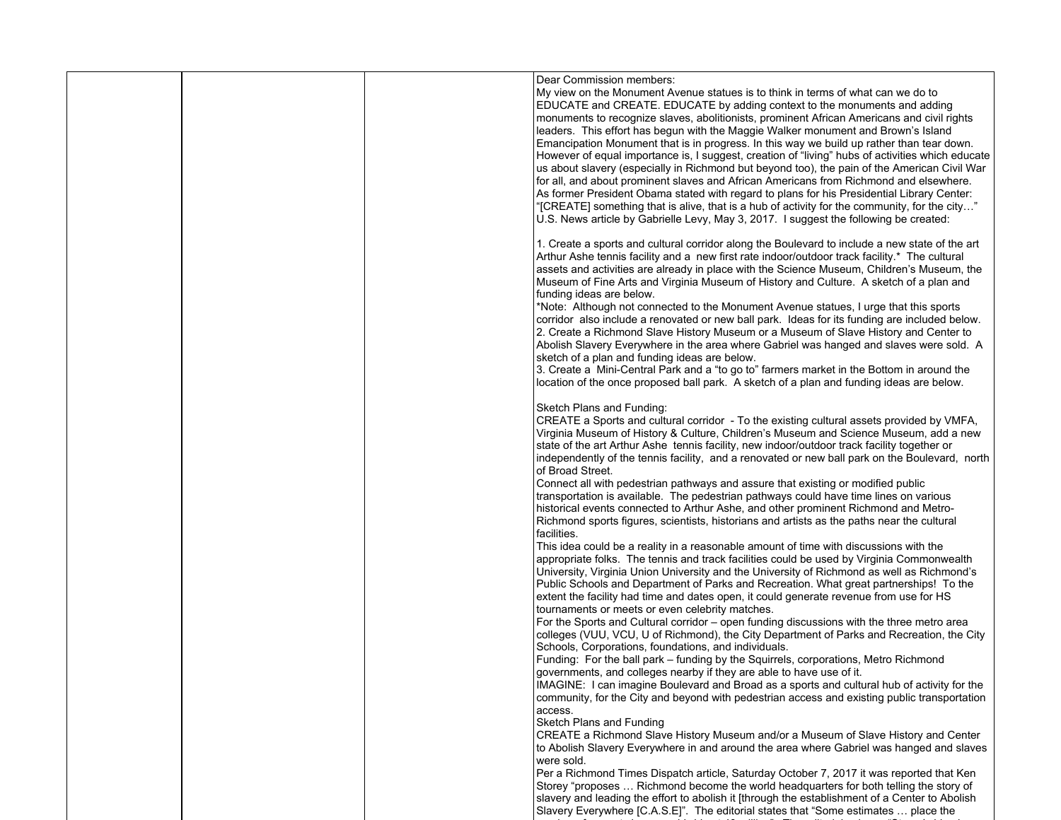|  |  | Dear Commission members:<br>My view on the Monument Avenue statues is to think in terms of what can we do to<br>EDUCATE and CREATE. EDUCATE by adding context to the monuments and adding<br>monuments to recognize slaves, abolitionists, prominent African Americans and civil rights<br>leaders. This effort has begun with the Maggie Walker monument and Brown's Island<br>Emancipation Monument that is in progress. In this way we build up rather than tear down.<br>However of equal importance is, I suggest, creation of "living" hubs of activities which educate<br>us about slavery (especially in Richmond but beyond too), the pain of the American Civil War<br>for all, and about prominent slaves and African Americans from Richmond and elsewhere.<br>As former President Obama stated with regard to plans for his Presidential Library Center:<br>"[CREATE] something that is alive, that is a hub of activity for the community, for the city"<br>U.S. News article by Gabrielle Levy, May 3, 2017. I suggest the following be created: |
|--|--|-----------------------------------------------------------------------------------------------------------------------------------------------------------------------------------------------------------------------------------------------------------------------------------------------------------------------------------------------------------------------------------------------------------------------------------------------------------------------------------------------------------------------------------------------------------------------------------------------------------------------------------------------------------------------------------------------------------------------------------------------------------------------------------------------------------------------------------------------------------------------------------------------------------------------------------------------------------------------------------------------------------------------------------------------------------------|
|  |  | 1. Create a sports and cultural corridor along the Boulevard to include a new state of the art<br>Arthur Ashe tennis facility and a new first rate indoor/outdoor track facility.* The cultural<br>assets and activities are already in place with the Science Museum, Children's Museum, the<br>Museum of Fine Arts and Virginia Museum of History and Culture. A sketch of a plan and<br>funding ideas are below.<br>*Note: Although not connected to the Monument Avenue statues, I urge that this sports<br>corridor also include a renovated or new ball park. Ideas for its funding are included below.<br>2. Create a Richmond Slave History Museum or a Museum of Slave History and Center to<br>Abolish Slavery Everywhere in the area where Gabriel was hanged and slaves were sold. A<br>sketch of a plan and funding ideas are below.<br>3. Create a Mini-Central Park and a "to go to" farmers market in the Bottom in around the<br>location of the once proposed ball park. A sketch of a plan and funding ideas are below.                      |
|  |  | Sketch Plans and Funding:<br>CREATE a Sports and cultural corridor - To the existing cultural assets provided by VMFA,<br>Virginia Museum of History & Culture, Children's Museum and Science Museum, add a new<br>state of the art Arthur Ashe tennis facility, new indoor/outdoor track facility together or<br>independently of the tennis facility, and a renovated or new ball park on the Boulevard, north<br>of Broad Street.<br>Connect all with pedestrian pathways and assure that existing or modified public<br>transportation is available. The pedestrian pathways could have time lines on various<br>historical events connected to Arthur Ashe, and other prominent Richmond and Metro-                                                                                                                                                                                                                                                                                                                                                        |
|  |  | Richmond sports figures, scientists, historians and artists as the paths near the cultural<br>facilities.<br>This idea could be a reality in a reasonable amount of time with discussions with the<br>appropriate folks. The tennis and track facilities could be used by Virginia Commonwealth<br>University, Virginia Union University and the University of Richmond as well as Richmond's<br>Public Schools and Department of Parks and Recreation. What great partnerships! To the<br>extent the facility had time and dates open, it could generate revenue from use for HS<br>tournaments or meets or even celebrity matches.                                                                                                                                                                                                                                                                                                                                                                                                                            |
|  |  | For the Sports and Cultural corridor – open funding discussions with the three metro area<br>colleges (VUU, VCU, U of Richmond), the City Department of Parks and Recreation, the City<br>Schools, Corporations, foundations, and individuals.<br>Funding: For the ball park - funding by the Squirrels, corporations, Metro Richmond<br>governments, and colleges nearby if they are able to have use of it.<br>IMAGINE: I can imagine Boulevard and Broad as a sports and cultural hub of activity for the<br>community, for the City and beyond with pedestrian access and existing public transportation<br>access.                                                                                                                                                                                                                                                                                                                                                                                                                                         |
|  |  | Sketch Plans and Funding<br>CREATE a Richmond Slave History Museum and/or a Museum of Slave History and Center<br>to Abolish Slavery Everywhere in and around the area where Gabriel was hanged and slaves<br>were sold.<br>Per a Richmond Times Dispatch article, Saturday October 7, 2017 it was reported that Ken<br>Storey "proposes  Richmond become the world headquarters for both telling the story of<br>slavery and leading the effort to abolish it [through the establishment of a Center to Abolish<br>Slavery Everywhere [C.A.S.E]". The editorial states that "Some estimates  place the                                                                                                                                                                                                                                                                                                                                                                                                                                                         |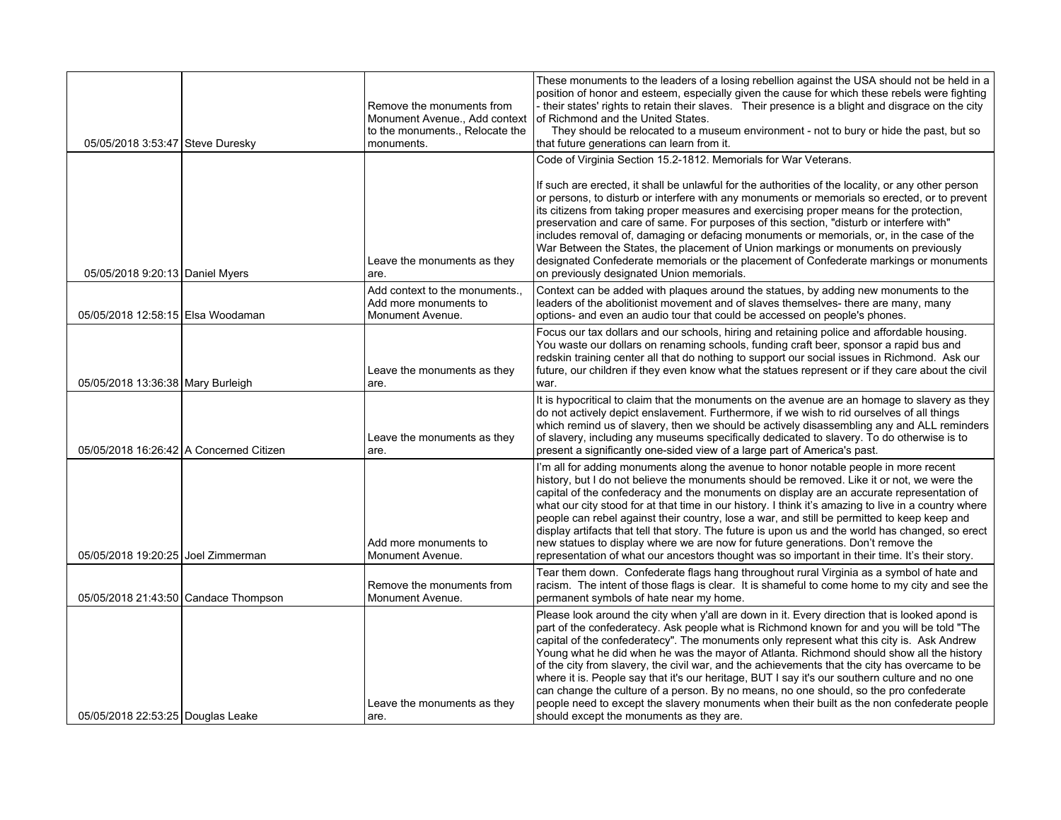| 05/05/2018 3:53:47 Steve Duresky        | Remove the monuments from<br>Monument Avenue., Add context<br>to the monuments., Relocate the<br>monuments. | These monuments to the leaders of a losing rebellion against the USA should not be held in a<br>position of honor and esteem, especially given the cause for which these rebels were fighting<br>- their states' rights to retain their slaves. Their presence is a blight and disgrace on the city<br>of Richmond and the United States.<br>They should be relocated to a museum environment - not to bury or hide the past, but so<br>that future generations can learn from it.                                                                                                                                                                                                                                                                                                                                            |
|-----------------------------------------|-------------------------------------------------------------------------------------------------------------|-------------------------------------------------------------------------------------------------------------------------------------------------------------------------------------------------------------------------------------------------------------------------------------------------------------------------------------------------------------------------------------------------------------------------------------------------------------------------------------------------------------------------------------------------------------------------------------------------------------------------------------------------------------------------------------------------------------------------------------------------------------------------------------------------------------------------------|
|                                         |                                                                                                             | Code of Virginia Section 15.2-1812. Memorials for War Veterans.                                                                                                                                                                                                                                                                                                                                                                                                                                                                                                                                                                                                                                                                                                                                                               |
| 05/05/2018 9:20:13 Daniel Myers         | Leave the monuments as they<br>are.                                                                         | If such are erected, it shall be unlawful for the authorities of the locality, or any other person<br>or persons, to disturb or interfere with any monuments or memorials so erected, or to prevent<br>its citizens from taking proper measures and exercising proper means for the protection,<br>preservation and care of same. For purposes of this section, "disturb or interfere with"<br>includes removal of, damaging or defacing monuments or memorials, or, in the case of the<br>War Between the States, the placement of Union markings or monuments on previously<br>designated Confederate memorials or the placement of Confederate markings or monuments<br>on previously designated Union memorials.                                                                                                          |
| 05/05/2018 12:58:15 Elsa Woodaman       | Add context to the monuments.,<br>Add more monuments to<br>Monument Avenue.                                 | Context can be added with plaques around the statues, by adding new monuments to the<br>leaders of the abolitionist movement and of slaves themselves- there are many, many<br>options- and even an audio tour that could be accessed on people's phones.                                                                                                                                                                                                                                                                                                                                                                                                                                                                                                                                                                     |
| 05/05/2018 13:36:38 Mary Burleigh       | Leave the monuments as they<br>are.                                                                         | Focus our tax dollars and our schools, hiring and retaining police and affordable housing.<br>You waste our dollars on renaming schools, funding craft beer, sponsor a rapid bus and<br>redskin training center all that do nothing to support our social issues in Richmond. Ask our<br>future, our children if they even know what the statues represent or if they care about the civil<br>war.                                                                                                                                                                                                                                                                                                                                                                                                                            |
| 05/05/2018 16:26:42 A Concerned Citizen | Leave the monuments as they<br>are.                                                                         | It is hypocritical to claim that the monuments on the avenue are an homage to slavery as they<br>do not actively depict enslavement. Furthermore, if we wish to rid ourselves of all things<br>which remind us of slavery, then we should be actively disassembling any and ALL reminders<br>of slavery, including any museums specifically dedicated to slavery. To do otherwise is to<br>present a significantly one-sided view of a large part of America's past.                                                                                                                                                                                                                                                                                                                                                          |
| 05/05/2018 19:20:25 Joel Zimmerman      | Add more monuments to<br>Monument Avenue.                                                                   | I'm all for adding monuments along the avenue to honor notable people in more recent<br>history, but I do not believe the monuments should be removed. Like it or not, we were the<br>capital of the confederacy and the monuments on display are an accurate representation of<br>what our city stood for at that time in our history. I think it's amazing to live in a country where<br>people can rebel against their country, lose a war, and still be permitted to keep keep and<br>display artifacts that tell that story. The future is upon us and the world has changed, so erect<br>new statues to display where we are now for future generations. Don't remove the<br>representation of what our ancestors thought was so important in their time. It's their story.                                             |
| 05/05/2018 21:43:50 Candace Thompson    | Remove the monuments from<br>Monument Avenue.                                                               | Tear them down. Confederate flags hang throughout rural Virginia as a symbol of hate and<br>racism. The intent of those flags is clear. It is shameful to come home to my city and see the<br>permanent symbols of hate near my home.                                                                                                                                                                                                                                                                                                                                                                                                                                                                                                                                                                                         |
| 05/05/2018 22:53:25 Douglas Leake       | Leave the monuments as they<br>l are.                                                                       | Please look around the city when y'all are down in it. Every direction that is looked apond is<br>part of the confederatecy. Ask people what is Richmond known for and you will be told "The<br>capital of the confederatecy". The monuments only represent what this city is. Ask Andrew<br>Young what he did when he was the mayor of Atlanta. Richmond should show all the history<br>of the city from slavery, the civil war, and the achievements that the city has overcame to be<br>where it is. People say that it's our heritage, BUT I say it's our southern culture and no one<br>can change the culture of a person. By no means, no one should, so the pro confederate<br>people need to except the slavery monuments when their built as the non confederate people<br>should except the monuments as they are. |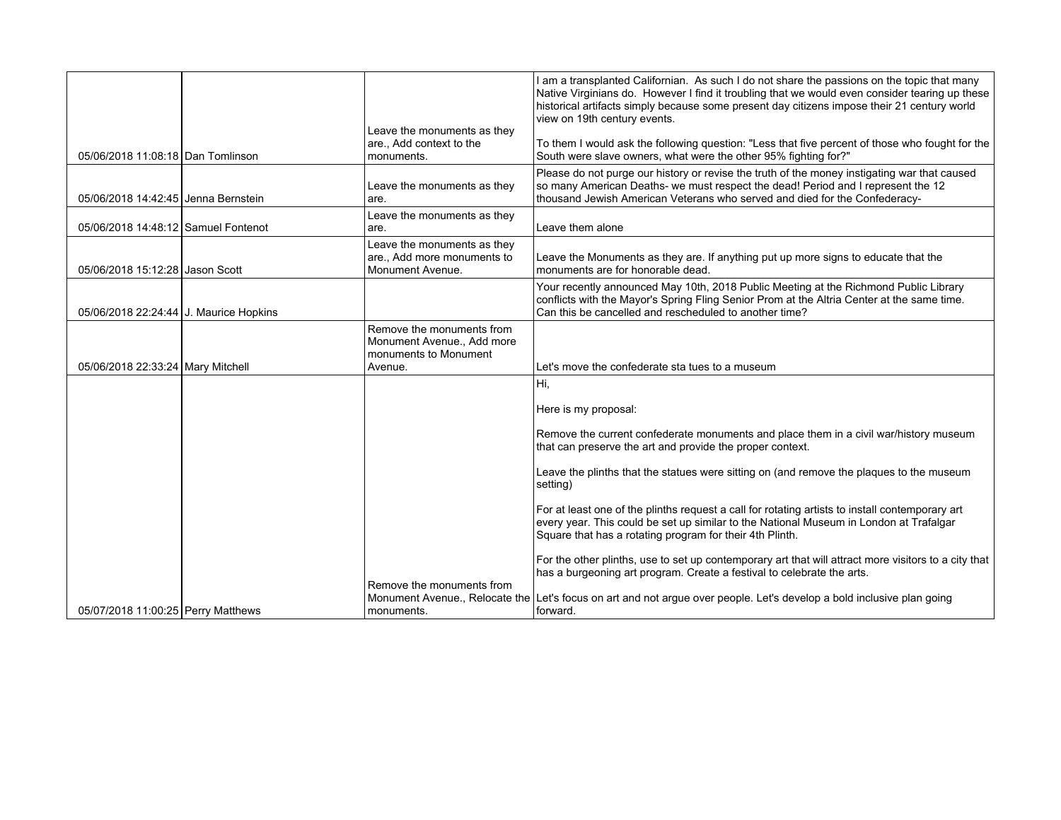|                                        | Leave the monuments as they                                                                 | I am a transplanted Californian. As such I do not share the passions on the topic that many<br>Native Virginians do. However I find it troubling that we would even consider tearing up these<br>historical artifacts simply because some present day citizens impose their 21 century world<br>view on 19th century events. |
|----------------------------------------|---------------------------------------------------------------------------------------------|------------------------------------------------------------------------------------------------------------------------------------------------------------------------------------------------------------------------------------------------------------------------------------------------------------------------------|
| 05/06/2018 11:08:18 Dan Tomlinson      | are., Add context to the<br>monuments.                                                      | To them I would ask the following question: "Less that five percent of those who fought for the<br>South were slave owners, what were the other 95% fighting for?"                                                                                                                                                           |
| 05/06/2018 14:42:45 Jenna Bernstein    | Leave the monuments as they<br>are.                                                         | Please do not purge our history or revise the truth of the money instigating war that caused<br>so many American Deaths- we must respect the dead! Period and I represent the 12<br>thousand Jewish American Veterans who served and died for the Confederacy-                                                               |
| 05/06/2018 14:48:12 Samuel Fontenot    | Leave the monuments as they<br>are.                                                         | Leave them alone                                                                                                                                                                                                                                                                                                             |
| 05/06/2018 15:12:28 Jason Scott        | Leave the monuments as they<br>are., Add more monuments to<br>Monument Avenue.              | Leave the Monuments as they are. If anything put up more signs to educate that the<br>monuments are for honorable dead.                                                                                                                                                                                                      |
| 05/06/2018 22:24:44 J. Maurice Hopkins |                                                                                             | Your recently announced May 10th, 2018 Public Meeting at the Richmond Public Library<br>conflicts with the Mayor's Spring Fling Senior Prom at the Altria Center at the same time.<br>Can this be cancelled and rescheduled to another time?                                                                                 |
| 05/06/2018 22:33:24 Mary Mitchell      | Remove the monuments from<br>Monument Avenue., Add more<br>monuments to Monument<br>Avenue. | Let's move the confederate sta tues to a museum                                                                                                                                                                                                                                                                              |
|                                        |                                                                                             | Hi,                                                                                                                                                                                                                                                                                                                          |
|                                        |                                                                                             | Here is my proposal:                                                                                                                                                                                                                                                                                                         |
|                                        |                                                                                             | Remove the current confederate monuments and place them in a civil war/history museum<br>that can preserve the art and provide the proper context.                                                                                                                                                                           |
|                                        |                                                                                             | Leave the plinths that the statues were sitting on (and remove the plaques to the museum<br>setting)                                                                                                                                                                                                                         |
|                                        |                                                                                             | For at least one of the plinths request a call for rotating artists to install contemporary art<br>every year. This could be set up similar to the National Museum in London at Trafalgar<br>Square that has a rotating program for their 4th Plinth.                                                                        |
|                                        |                                                                                             | For the other plinths, use to set up contemporary art that will attract more visitors to a city that<br>has a burgeoning art program. Create a festival to celebrate the arts.                                                                                                                                               |
| 05/07/2018 11:00:25 Perry Matthews     | Remove the monuments from<br>monuments.                                                     | Monument Avenue., Relocate the Let's focus on art and not argue over people. Let's develop a bold inclusive plan going<br>forward.                                                                                                                                                                                           |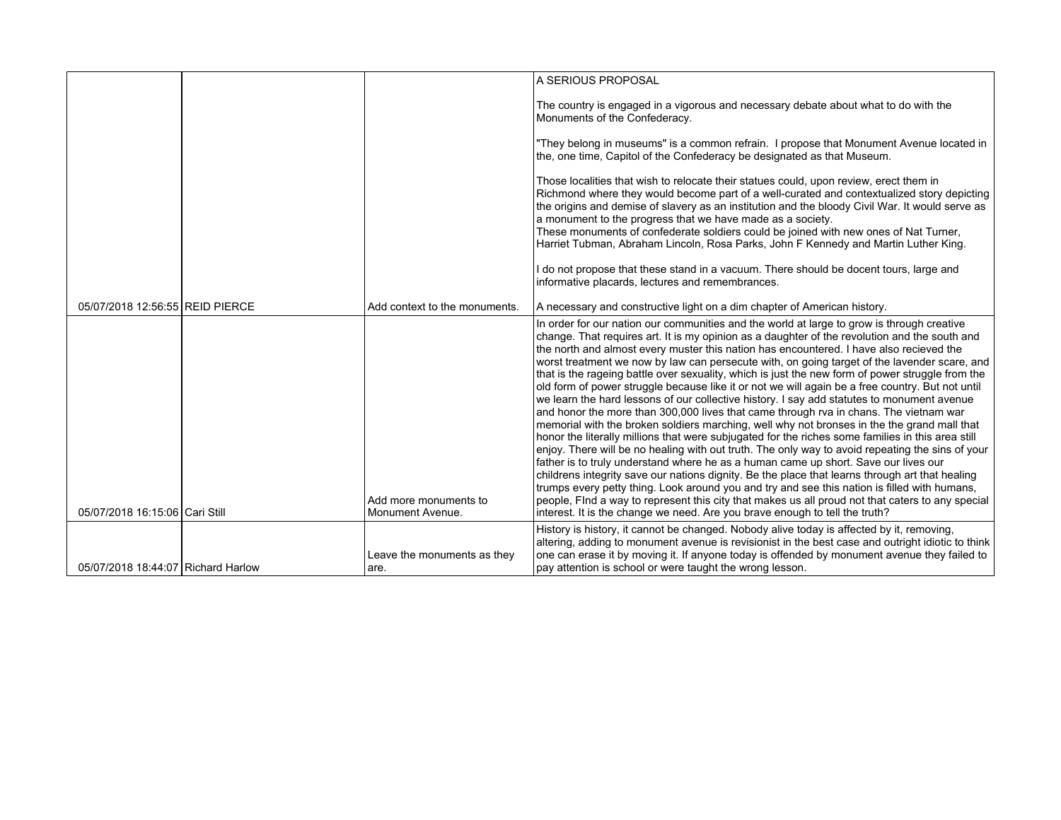|                                    |                                           | A SERIOUS PROPOSAL                                                                                                                                                                                                                                                                                                                                                                                                                                                                                                                                                                                                                                                                                                                                                                                                                                                                                                                                                                                                                                                                                                                                                                                                                                                                                                                                                                                                                                                                                                                                                         |
|------------------------------------|-------------------------------------------|----------------------------------------------------------------------------------------------------------------------------------------------------------------------------------------------------------------------------------------------------------------------------------------------------------------------------------------------------------------------------------------------------------------------------------------------------------------------------------------------------------------------------------------------------------------------------------------------------------------------------------------------------------------------------------------------------------------------------------------------------------------------------------------------------------------------------------------------------------------------------------------------------------------------------------------------------------------------------------------------------------------------------------------------------------------------------------------------------------------------------------------------------------------------------------------------------------------------------------------------------------------------------------------------------------------------------------------------------------------------------------------------------------------------------------------------------------------------------------------------------------------------------------------------------------------------------|
|                                    |                                           | The country is engaged in a vigorous and necessary debate about what to do with the<br>Monuments of the Confederacy.                                                                                                                                                                                                                                                                                                                                                                                                                                                                                                                                                                                                                                                                                                                                                                                                                                                                                                                                                                                                                                                                                                                                                                                                                                                                                                                                                                                                                                                       |
|                                    |                                           | "They belong in museums" is a common refrain. I propose that Monument Avenue located in<br>the, one time, Capitol of the Confederacy be designated as that Museum.                                                                                                                                                                                                                                                                                                                                                                                                                                                                                                                                                                                                                                                                                                                                                                                                                                                                                                                                                                                                                                                                                                                                                                                                                                                                                                                                                                                                         |
|                                    |                                           | Those localities that wish to relocate their statues could, upon review, erect them in<br>Richmond where they would become part of a well-curated and contextualized story depicting<br>the origins and demise of slavery as an institution and the bloody Civil War. It would serve as<br>a monument to the progress that we have made as a society.<br>These monuments of confederate soldiers could be joined with new ones of Nat Turner,<br>Harriet Tubman, Abraham Lincoln, Rosa Parks, John F Kennedy and Martin Luther King.                                                                                                                                                                                                                                                                                                                                                                                                                                                                                                                                                                                                                                                                                                                                                                                                                                                                                                                                                                                                                                       |
|                                    |                                           | I do not propose that these stand in a vacuum. There should be docent tours, large and<br>informative placards, lectures and remembrances.                                                                                                                                                                                                                                                                                                                                                                                                                                                                                                                                                                                                                                                                                                                                                                                                                                                                                                                                                                                                                                                                                                                                                                                                                                                                                                                                                                                                                                 |
| 05/07/2018 12:56:55 REID PIERCE    | Add context to the monuments.             | A necessary and constructive light on a dim chapter of American history.                                                                                                                                                                                                                                                                                                                                                                                                                                                                                                                                                                                                                                                                                                                                                                                                                                                                                                                                                                                                                                                                                                                                                                                                                                                                                                                                                                                                                                                                                                   |
| 05/07/2018 16:15:06 Cari Still     | Add more monuments to<br>Monument Avenue. | In order for our nation our communities and the world at large to grow is through creative<br>change. That requires art. It is my opinion as a daughter of the revolution and the south and<br>the north and almost every muster this nation has encountered. I have also recieved the<br>worst treatment we now by law can persecute with, on going target of the lavender scare, and<br>that is the rageing battle over sexuality, which is just the new form of power struggle from the<br>old form of power struggle because like it or not we will again be a free country. But not until<br>we learn the hard lessons of our collective history. I say add statutes to monument avenue<br>and honor the more than 300,000 lives that came through rva in chans. The vietnam war<br>memorial with the broken soldiers marching, well why not bronses in the the grand mall that<br>honor the literally millions that were subjugated for the riches some families in this area still<br>enjoy. There will be no healing with out truth. The only way to avoid repeating the sins of your<br>father is to truly understand where he as a human came up short. Save our lives our<br>childrens integrity save our nations dignity. Be the place that learns through art that healing<br>trumps every petty thing. Look around you and try and see this nation is filled with humans,<br>people, Find a way to represent this city that makes us all proud not that caters to any special<br>interest. It is the change we need. Are you brave enough to tell the truth? |
|                                    |                                           | History is history, it cannot be changed. Nobody alive today is affected by it, removing,<br>altering, adding to monument avenue is revisionist in the best case and outright idiotic to think                                                                                                                                                                                                                                                                                                                                                                                                                                                                                                                                                                                                                                                                                                                                                                                                                                                                                                                                                                                                                                                                                                                                                                                                                                                                                                                                                                             |
| 05/07/2018 18:44:07 Richard Harlow | Leave the monuments as they<br>are.       | one can erase it by moving it. If anyone today is offended by monument avenue they failed to<br>pay attention is school or were taught the wrong lesson.                                                                                                                                                                                                                                                                                                                                                                                                                                                                                                                                                                                                                                                                                                                                                                                                                                                                                                                                                                                                                                                                                                                                                                                                                                                                                                                                                                                                                   |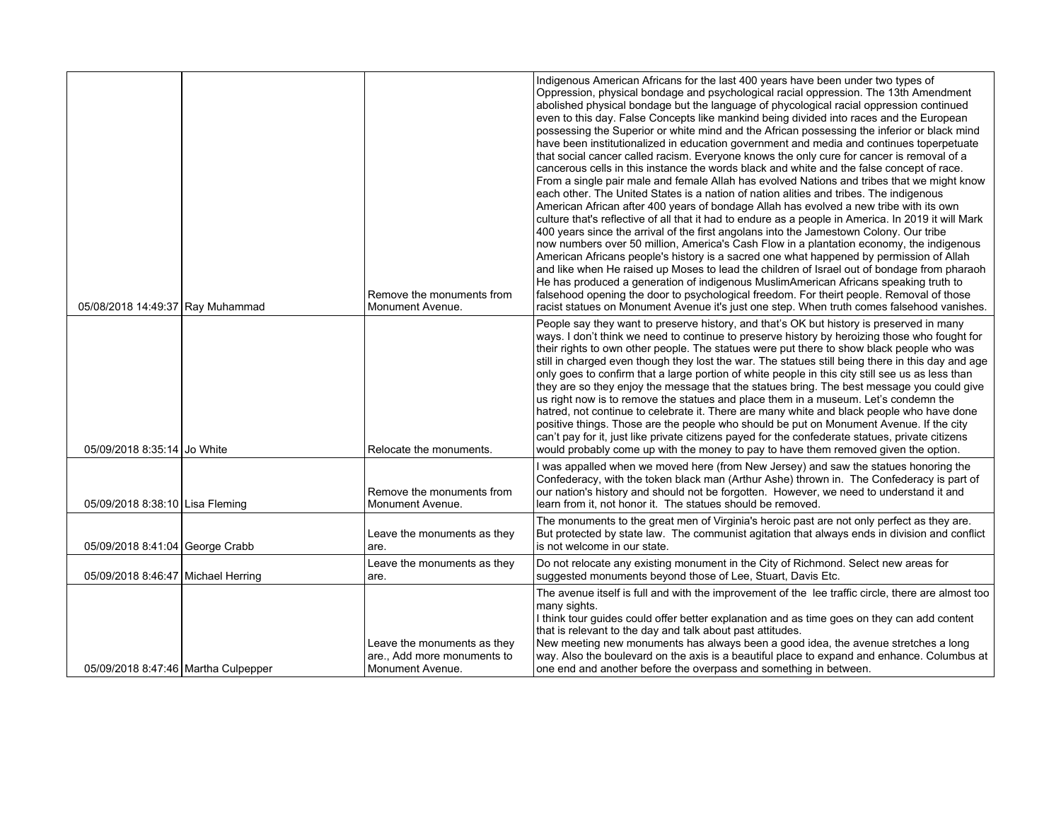| 05/08/2018 14:49:37 Ray Muhammad    | Remove the monuments from<br>Monument Avenue.                                  | Indigenous American Africans for the last 400 years have been under two types of<br>Oppression, physical bondage and psychological racial oppression. The 13th Amendment<br>abolished physical bondage but the language of phycological racial oppression continued<br>even to this day. False Concepts like mankind being divided into races and the European<br>possessing the Superior or white mind and the African possessing the inferior or black mind<br>have been institutionalized in education government and media and continues toperpetuate<br>that social cancer called racism. Everyone knows the only cure for cancer is removal of a<br>cancerous cells in this instance the words black and white and the false concept of race.<br>From a single pair male and female Allah has evolved Nations and tribes that we might know<br>each other. The United States is a nation of nation alities and tribes. The indigenous<br>American African after 400 years of bondage Allah has evolved a new tribe with its own<br>culture that's reflective of all that it had to endure as a people in America. In 2019 it will Mark<br>400 years since the arrival of the first angolans into the Jamestown Colony. Our tribe<br>now numbers over 50 million, America's Cash Flow in a plantation economy, the indigenous<br>American Africans people's history is a sacred one what happened by permission of Allah<br>and like when He raised up Moses to lead the children of Israel out of bondage from pharaoh<br>He has produced a generation of indigenous MuslimAmerican Africans speaking truth to<br>falsehood opening the door to psychological freedom. For theirt people. Removal of those<br>racist statues on Monument Avenue it's just one step. When truth comes falsehood vanishes. |
|-------------------------------------|--------------------------------------------------------------------------------|----------------------------------------------------------------------------------------------------------------------------------------------------------------------------------------------------------------------------------------------------------------------------------------------------------------------------------------------------------------------------------------------------------------------------------------------------------------------------------------------------------------------------------------------------------------------------------------------------------------------------------------------------------------------------------------------------------------------------------------------------------------------------------------------------------------------------------------------------------------------------------------------------------------------------------------------------------------------------------------------------------------------------------------------------------------------------------------------------------------------------------------------------------------------------------------------------------------------------------------------------------------------------------------------------------------------------------------------------------------------------------------------------------------------------------------------------------------------------------------------------------------------------------------------------------------------------------------------------------------------------------------------------------------------------------------------------------------------------------------------------------------------------------------------------------------|
| 05/09/2018 8:35:14 Jo White         | Relocate the monuments.                                                        | People say they want to preserve history, and that's OK but history is preserved in many<br>ways. I don't think we need to continue to preserve history by heroizing those who fought for<br>their rights to own other people. The statues were put there to show black people who was<br>still in charged even though they lost the war. The statues still being there in this day and age<br>only goes to confirm that a large portion of white people in this city still see us as less than<br>they are so they enjoy the message that the statues bring. The best message you could give<br>us right now is to remove the statues and place them in a museum. Let's condemn the<br>hatred, not continue to celebrate it. There are many white and black people who have done<br>positive things. Those are the people who should be put on Monument Avenue. If the city<br>can't pay for it, just like private citizens payed for the confederate statues, private citizens<br>would probably come up with the money to pay to have them removed given the option.                                                                                                                                                                                                                                                                                                                                                                                                                                                                                                                                                                                                                                                                                                                                        |
| 05/09/2018 8:38:10 Lisa Fleming     | Remove the monuments from<br>Monument Avenue.                                  | I was appalled when we moved here (from New Jersey) and saw the statues honoring the<br>Confederacy, with the token black man (Arthur Ashe) thrown in. The Confederacy is part of<br>our nation's history and should not be forgotten. However, we need to understand it and<br>learn from it, not honor it. The statues should be removed.                                                                                                                                                                                                                                                                                                                                                                                                                                                                                                                                                                                                                                                                                                                                                                                                                                                                                                                                                                                                                                                                                                                                                                                                                                                                                                                                                                                                                                                                    |
| 05/09/2018 8:41:04 George Crabb     | Leave the monuments as they<br>are.                                            | The monuments to the great men of Virginia's heroic past are not only perfect as they are.<br>But protected by state law. The communist agitation that always ends in division and conflict<br>is not welcome in our state.                                                                                                                                                                                                                                                                                                                                                                                                                                                                                                                                                                                                                                                                                                                                                                                                                                                                                                                                                                                                                                                                                                                                                                                                                                                                                                                                                                                                                                                                                                                                                                                    |
| 05/09/2018 8:46:47 Michael Herring  | Leave the monuments as they<br>are.                                            | Do not relocate any existing monument in the City of Richmond. Select new areas for<br>suggested monuments beyond those of Lee, Stuart, Davis Etc.                                                                                                                                                                                                                                                                                                                                                                                                                                                                                                                                                                                                                                                                                                                                                                                                                                                                                                                                                                                                                                                                                                                                                                                                                                                                                                                                                                                                                                                                                                                                                                                                                                                             |
| 05/09/2018 8:47:46 Martha Culpepper | Leave the monuments as they<br>are., Add more monuments to<br>Monument Avenue. | The avenue itself is full and with the improvement of the lee traffic circle, there are almost too<br>many sights.<br>I think tour guides could offer better explanation and as time goes on they can add content<br>that is relevant to the day and talk about past attitudes.<br>New meeting new monuments has always been a good idea, the avenue stretches a long<br>way. Also the boulevard on the axis is a beautiful place to expand and enhance. Columbus at<br>one end and another before the overpass and something in between.                                                                                                                                                                                                                                                                                                                                                                                                                                                                                                                                                                                                                                                                                                                                                                                                                                                                                                                                                                                                                                                                                                                                                                                                                                                                      |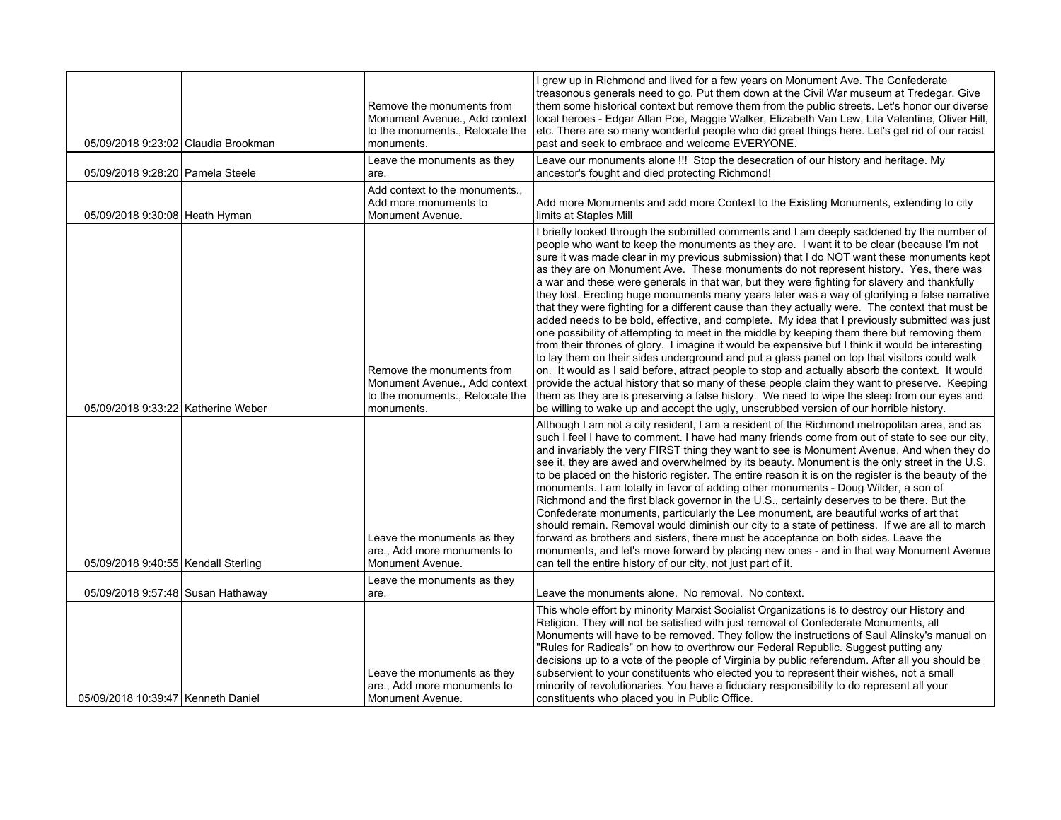| 05/09/2018 9:23:02 Claudia Brookman   | Remove the monuments from<br>Monument Avenue., Add context<br>to the monuments., Relocate the<br>monuments. | I grew up in Richmond and lived for a few years on Monument Ave. The Confederate<br>treasonous generals need to go. Put them down at the Civil War museum at Tredegar. Give<br>them some historical context but remove them from the public streets. Let's honor our diverse<br>local heroes - Edgar Allan Poe, Maggie Walker, Elizabeth Van Lew, Lila Valentine, Oliver Hill,<br>etc. There are so many wonderful people who did great things here. Let's get rid of our racist<br>past and seek to embrace and welcome EVERYONE.                                                                                                                                                                                                                                                                                                                                                                                                                                                                                                                                                                                                                                                                                                                                                                                                                                                                                                                                               |
|---------------------------------------|-------------------------------------------------------------------------------------------------------------|----------------------------------------------------------------------------------------------------------------------------------------------------------------------------------------------------------------------------------------------------------------------------------------------------------------------------------------------------------------------------------------------------------------------------------------------------------------------------------------------------------------------------------------------------------------------------------------------------------------------------------------------------------------------------------------------------------------------------------------------------------------------------------------------------------------------------------------------------------------------------------------------------------------------------------------------------------------------------------------------------------------------------------------------------------------------------------------------------------------------------------------------------------------------------------------------------------------------------------------------------------------------------------------------------------------------------------------------------------------------------------------------------------------------------------------------------------------------------------|
| 05/09/2018 9:28:20 Pamela Steele      | Leave the monuments as they<br>are.                                                                         | Leave our monuments alone !!! Stop the desecration of our history and heritage. My<br>ancestor's fought and died protecting Richmond!                                                                                                                                                                                                                                                                                                                                                                                                                                                                                                                                                                                                                                                                                                                                                                                                                                                                                                                                                                                                                                                                                                                                                                                                                                                                                                                                            |
| 05/09/2018 9:30:08 Heath Hyman        | Add context to the monuments.,<br>Add more monuments to<br>Monument Avenue.                                 | Add more Monuments and add more Context to the Existing Monuments, extending to city<br>limits at Staples Mill                                                                                                                                                                                                                                                                                                                                                                                                                                                                                                                                                                                                                                                                                                                                                                                                                                                                                                                                                                                                                                                                                                                                                                                                                                                                                                                                                                   |
| 05/09/2018 9:33:22   Katherine Weber  | Remove the monuments from<br>Monument Avenue., Add context<br>to the monuments., Relocate the<br>monuments. | I briefly looked through the submitted comments and I am deeply saddened by the number of<br>people who want to keep the monuments as they are. I want it to be clear (because I'm not<br>sure it was made clear in my previous submission) that I do NOT want these monuments kept<br>as they are on Monument Ave. These monuments do not represent history. Yes, there was<br>a war and these were generals in that war, but they were fighting for slavery and thankfully<br>they lost. Erecting huge monuments many years later was a way of glorifying a false narrative<br>that they were fighting for a different cause than they actually were. The context that must be<br>added needs to be bold, effective, and complete. My idea that I previously submitted was just<br>one possibility of attempting to meet in the middle by keeping them there but removing them<br>from their thrones of glory. I imagine it would be expensive but I think it would be interesting<br>to lay them on their sides underground and put a glass panel on top that visitors could walk<br>on. It would as I said before, attract people to stop and actually absorb the context. It would<br>provide the actual history that so many of these people claim they want to preserve. Keeping<br>them as they are is preserving a false history. We need to wipe the sleep from our eyes and<br>be willing to wake up and accept the ugly, unscrubbed version of our horrible history. |
| 05/09/2018 9:40:55   Kendall Sterling | Leave the monuments as they<br>are., Add more monuments to<br>Monument Avenue.                              | Although I am not a city resident, I am a resident of the Richmond metropolitan area, and as<br>such I feel I have to comment. I have had many friends come from out of state to see our city,<br>and invariably the very FIRST thing they want to see is Monument Avenue. And when they do<br>see it, they are awed and overwhelmed by its beauty. Monument is the only street in the U.S.<br>to be placed on the historic register. The entire reason it is on the register is the beauty of the<br>monuments. I am totally in favor of adding other monuments - Doug Wilder, a son of<br>Richmond and the first black governor in the U.S., certainly deserves to be there. But the<br>Confederate monuments, particularly the Lee monument, are beautiful works of art that<br>should remain. Removal would diminish our city to a state of pettiness. If we are all to march<br>forward as brothers and sisters, there must be acceptance on both sides. Leave the<br>monuments, and let's move forward by placing new ones - and in that way Monument Avenue<br>can tell the entire history of our city, not just part of it.                                                                                                                                                                                                                                                                                                                                              |
| 05/09/2018 9:57:48 Susan Hathaway     | Leave the monuments as they<br>are.                                                                         | Leave the monuments alone. No removal. No context.                                                                                                                                                                                                                                                                                                                                                                                                                                                                                                                                                                                                                                                                                                                                                                                                                                                                                                                                                                                                                                                                                                                                                                                                                                                                                                                                                                                                                               |
| 05/09/2018 10:39:47 Kenneth Daniel    | Leave the monuments as they<br>are., Add more monuments to<br>Monument Avenue.                              | This whole effort by minority Marxist Socialist Organizations is to destroy our History and<br>Religion. They will not be satisfied with just removal of Confederate Monuments, all<br>Monuments will have to be removed. They follow the instructions of Saul Alinsky's manual on<br>"Rules for Radicals" on how to overthrow our Federal Republic. Suggest putting any<br>decisions up to a vote of the people of Virginia by public referendum. After all you should be<br>subservient to your constituents who elected you to represent their wishes, not a small<br>minority of revolutionaries. You have a fiduciary responsibility to do represent all your<br>constituents who placed you in Public Office.                                                                                                                                                                                                                                                                                                                                                                                                                                                                                                                                                                                                                                                                                                                                                              |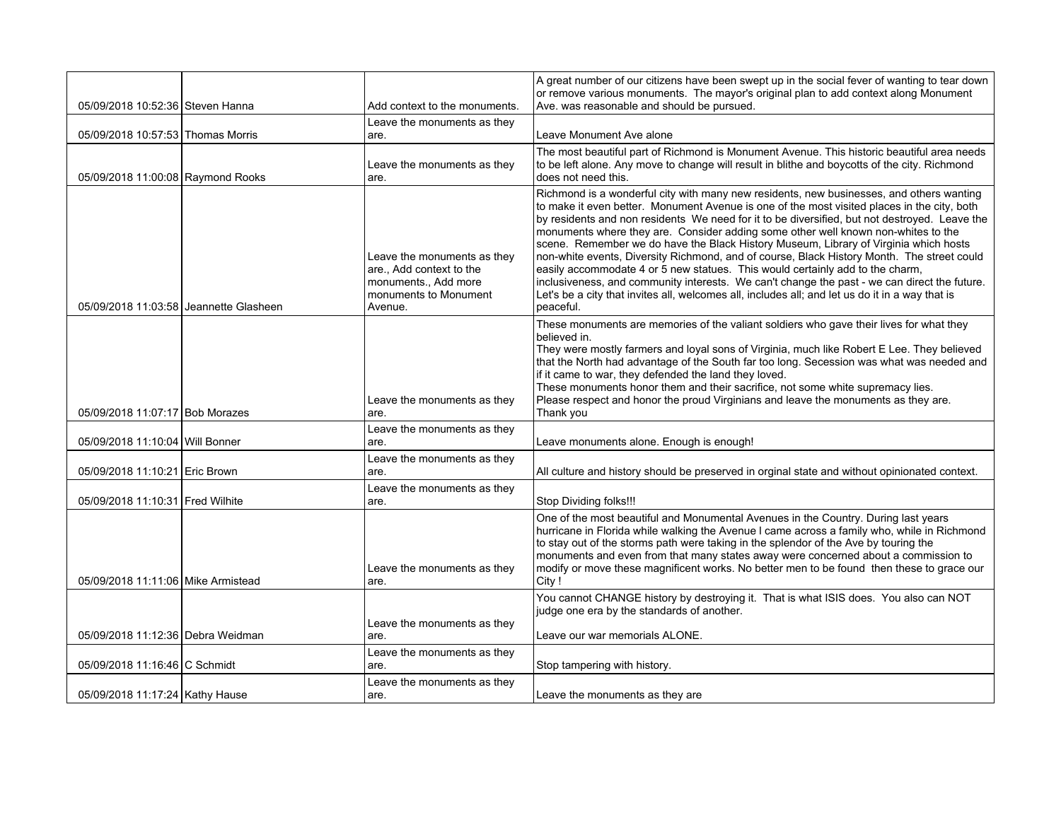|                                        |                                                                                                                     | A great number of our citizens have been swept up in the social fever of wanting to tear down<br>or remove various monuments. The mayor's original plan to add context along Monument                                                                                                                                                                                                                                                                                                                                                                                                                                                                                                                                                                                                                                                                                |
|----------------------------------------|---------------------------------------------------------------------------------------------------------------------|----------------------------------------------------------------------------------------------------------------------------------------------------------------------------------------------------------------------------------------------------------------------------------------------------------------------------------------------------------------------------------------------------------------------------------------------------------------------------------------------------------------------------------------------------------------------------------------------------------------------------------------------------------------------------------------------------------------------------------------------------------------------------------------------------------------------------------------------------------------------|
| 05/09/2018 10:52:36 Steven Hanna       | Add context to the monuments.                                                                                       | Ave. was reasonable and should be pursued.                                                                                                                                                                                                                                                                                                                                                                                                                                                                                                                                                                                                                                                                                                                                                                                                                           |
| 05/09/2018 10:57:53 Thomas Morris      | Leave the monuments as they<br>are.                                                                                 | Leave Monument Ave alone                                                                                                                                                                                                                                                                                                                                                                                                                                                                                                                                                                                                                                                                                                                                                                                                                                             |
| 05/09/2018 11:00:08 Raymond Rooks      | Leave the monuments as they<br>are.                                                                                 | The most beautiful part of Richmond is Monument Avenue. This historic beautiful area needs<br>to be left alone. Any move to change will result in blithe and boycotts of the city. Richmond<br>does not need this.                                                                                                                                                                                                                                                                                                                                                                                                                                                                                                                                                                                                                                                   |
| 05/09/2018 11:03:58 Jeannette Glasheen | Leave the monuments as they<br>are., Add context to the<br>monuments., Add more<br>monuments to Monument<br>Avenue. | Richmond is a wonderful city with many new residents, new businesses, and others wanting<br>to make it even better. Monument Avenue is one of the most visited places in the city, both<br>by residents and non residents We need for it to be diversified, but not destroyed. Leave the<br>monuments where they are. Consider adding some other well known non-whites to the<br>scene. Remember we do have the Black History Museum, Library of Virginia which hosts<br>non-white events, Diversity Richmond, and of course, Black History Month. The street could<br>easily accommodate 4 or 5 new statues. This would certainly add to the charm,<br>inclusiveness, and community interests. We can't change the past - we can direct the future.<br>Let's be a city that invites all, welcomes all, includes all; and let us do it in a way that is<br>peaceful. |
| 05/09/2018 11:07:17 Bob Morazes        | Leave the monuments as they<br>are.                                                                                 | These monuments are memories of the valiant soldiers who gave their lives for what they<br>believed in.<br>They were mostly farmers and loyal sons of Virginia, much like Robert E Lee. They believed<br>that the North had advantage of the South far too long. Secession was what was needed and<br>if it came to war, they defended the land they loved.<br>These monuments honor them and their sacrifice, not some white supremacy lies.<br>Please respect and honor the proud Virginians and leave the monuments as they are.<br>Thank you                                                                                                                                                                                                                                                                                                                     |
| 05/09/2018 11:10:04 Will Bonner        | Leave the monuments as they<br>are.                                                                                 | Leave monuments alone. Enough is enough!                                                                                                                                                                                                                                                                                                                                                                                                                                                                                                                                                                                                                                                                                                                                                                                                                             |
| 05/09/2018 11:10:21 Eric Brown         | Leave the monuments as they<br>are.                                                                                 | All culture and history should be preserved in orginal state and without opinionated context.                                                                                                                                                                                                                                                                                                                                                                                                                                                                                                                                                                                                                                                                                                                                                                        |
| 05/09/2018 11:10:31 Fred Wilhite       | Leave the monuments as they<br>are.                                                                                 | Stop Dividing folks!!!                                                                                                                                                                                                                                                                                                                                                                                                                                                                                                                                                                                                                                                                                                                                                                                                                                               |
| 05/09/2018 11:11:06 Mike Armistead     | Leave the monuments as they<br>are.                                                                                 | One of the most beautiful and Monumental Avenues in the Country. During last years<br>hurricane in Florida while walking the Avenue I came across a family who, while in Richmond<br>to stay out of the storms path were taking in the splendor of the Ave by touring the<br>monuments and even from that many states away were concerned about a commission to<br>modify or move these magnificent works. No better men to be found then these to grace our<br>City!                                                                                                                                                                                                                                                                                                                                                                                                |
|                                        |                                                                                                                     | You cannot CHANGE history by destroying it. That is what ISIS does. You also can NOT<br>judge one era by the standards of another.                                                                                                                                                                                                                                                                                                                                                                                                                                                                                                                                                                                                                                                                                                                                   |
| 05/09/2018 11:12:36 Debra Weidman      | Leave the monuments as they<br>are.                                                                                 | Leave our war memorials ALONE.                                                                                                                                                                                                                                                                                                                                                                                                                                                                                                                                                                                                                                                                                                                                                                                                                                       |
| 05/09/2018 11:16:46 C Schmidt          | Leave the monuments as they<br>are.                                                                                 | Stop tampering with history.                                                                                                                                                                                                                                                                                                                                                                                                                                                                                                                                                                                                                                                                                                                                                                                                                                         |
| 05/09/2018 11:17:24 Kathy Hause        | Leave the monuments as they<br>are.                                                                                 | Leave the monuments as they are                                                                                                                                                                                                                                                                                                                                                                                                                                                                                                                                                                                                                                                                                                                                                                                                                                      |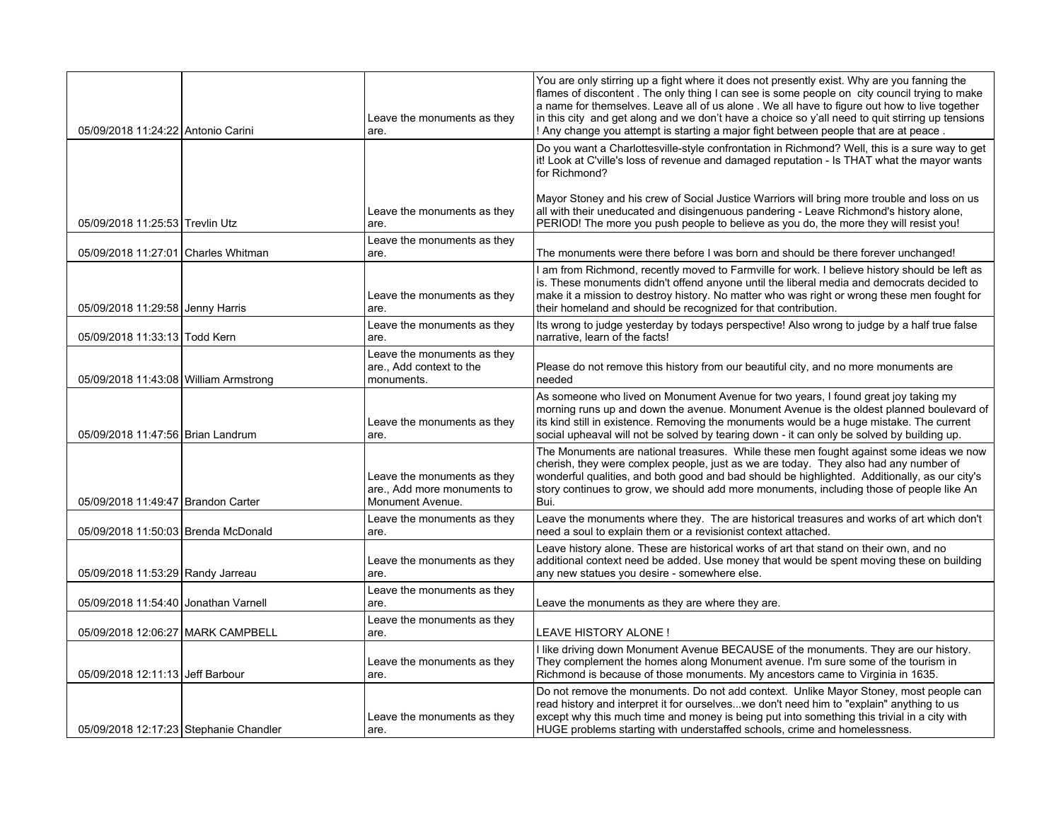| 05/09/2018 11:24:22 Antonio Carini     | Leave the monuments as they<br>are.                                          | You are only stirring up a fight where it does not presently exist. Why are you fanning the<br>flames of discontent. The only thing I can see is some people on city council trying to make<br>a name for themselves. Leave all of us alone . We all have to figure out how to live together<br>in this city and get along and we don't have a choice so y'all need to quit stirring up tensions<br>! Any change you attempt is starting a major fight between people that are at peace. |
|----------------------------------------|------------------------------------------------------------------------------|------------------------------------------------------------------------------------------------------------------------------------------------------------------------------------------------------------------------------------------------------------------------------------------------------------------------------------------------------------------------------------------------------------------------------------------------------------------------------------------|
|                                        |                                                                              | Do you want a Charlottesville-style confrontation in Richmond? Well, this is a sure way to get<br>it! Look at C'ville's loss of revenue and damaged reputation - Is THAT what the mayor wants<br>for Richmond?                                                                                                                                                                                                                                                                           |
| 05/09/2018 11:25:53 Trevlin Utz        | Leave the monuments as they<br>are.                                          | Mayor Stoney and his crew of Social Justice Warriors will bring more trouble and loss on us<br>all with their uneducated and disingenuous pandering - Leave Richmond's history alone,<br>PERIOD! The more you push people to believe as you do, the more they will resist you!                                                                                                                                                                                                           |
| 05/09/2018 11:27:01 Charles Whitman    | Leave the monuments as they<br>are.                                          | The monuments were there before I was born and should be there forever unchanged!                                                                                                                                                                                                                                                                                                                                                                                                        |
| 05/09/2018 11:29:58 Jenny Harris       | Leave the monuments as they<br>are.                                          | I am from Richmond, recently moved to Farmville for work. I believe history should be left as<br>is. These monuments didn't offend anyone until the liberal media and democrats decided to<br>make it a mission to destroy history. No matter who was right or wrong these men fought for<br>their homeland and should be recognized for that contribution.                                                                                                                              |
| 05/09/2018 11:33:13 Todd Kern          | Leave the monuments as they<br>are.                                          | Its wrong to judge yesterday by todays perspective! Also wrong to judge by a half true false<br>narrative, learn of the facts!                                                                                                                                                                                                                                                                                                                                                           |
| 05/09/2018 11:43:08 William Armstrong  | Leave the monuments as they<br>are Add context to the<br>monuments.          | Please do not remove this history from our beautiful city, and no more monuments are<br>needed                                                                                                                                                                                                                                                                                                                                                                                           |
| 05/09/2018 11:47:56 Brian Landrum      | Leave the monuments as they<br>are.                                          | As someone who lived on Monument Avenue for two years, I found great joy taking my<br>morning runs up and down the avenue. Monument Avenue is the oldest planned boulevard of<br>its kind still in existence. Removing the monuments would be a huge mistake. The current<br>social upheaval will not be solved by tearing down - it can only be solved by building up.                                                                                                                  |
| 05/09/2018 11:49:47 Brandon Carter     | Leave the monuments as they<br>are Add more monuments to<br>Monument Avenue. | The Monuments are national treasures. While these men fought against some ideas we now<br>cherish, they were complex people, just as we are today. They also had any number of<br>wonderful qualities, and both good and bad should be highlighted. Additionally, as our city's<br>story continues to grow, we should add more monuments, including those of people like An<br>Bui.                                                                                                      |
| 05/09/2018 11:50:03 Brenda McDonald    | Leave the monuments as they<br>are.                                          | Leave the monuments where they. The are historical treasures and works of art which don't<br>need a soul to explain them or a revisionist context attached.                                                                                                                                                                                                                                                                                                                              |
| 05/09/2018 11:53:29 Randy Jarreau      | Leave the monuments as they<br>are.                                          | Leave history alone. These are historical works of art that stand on their own, and no<br>additional context need be added. Use money that would be spent moving these on building<br>any new statues you desire - somewhere else.                                                                                                                                                                                                                                                       |
| 05/09/2018 11:54:40 Jonathan Varnell   | Leave the monuments as they<br>are.                                          | Leave the monuments as they are where they are.                                                                                                                                                                                                                                                                                                                                                                                                                                          |
| 05/09/2018 12:06:27 MARK CAMPBELL      | Leave the monuments as they<br>are.                                          | <b>LEAVE HISTORY ALONE!</b>                                                                                                                                                                                                                                                                                                                                                                                                                                                              |
| 05/09/2018 12:11:13 Jeff Barbour       | Leave the monuments as they<br>are.                                          | I like driving down Monument Avenue BECAUSE of the monuments. They are our history.<br>They complement the homes along Monument avenue. I'm sure some of the tourism in<br>Richmond is because of those monuments. My ancestors came to Virginia in 1635.                                                                                                                                                                                                                                |
| 05/09/2018 12:17:23 Stephanie Chandler | Leave the monuments as they<br>are.                                          | Do not remove the monuments. Do not add context. Unlike Mayor Stoney, most people can<br>read history and interpret it for ourselveswe don't need him to "explain" anything to us<br>except why this much time and money is being put into something this trivial in a city with<br>HUGE problems starting with understaffed schools, crime and homelessness.                                                                                                                            |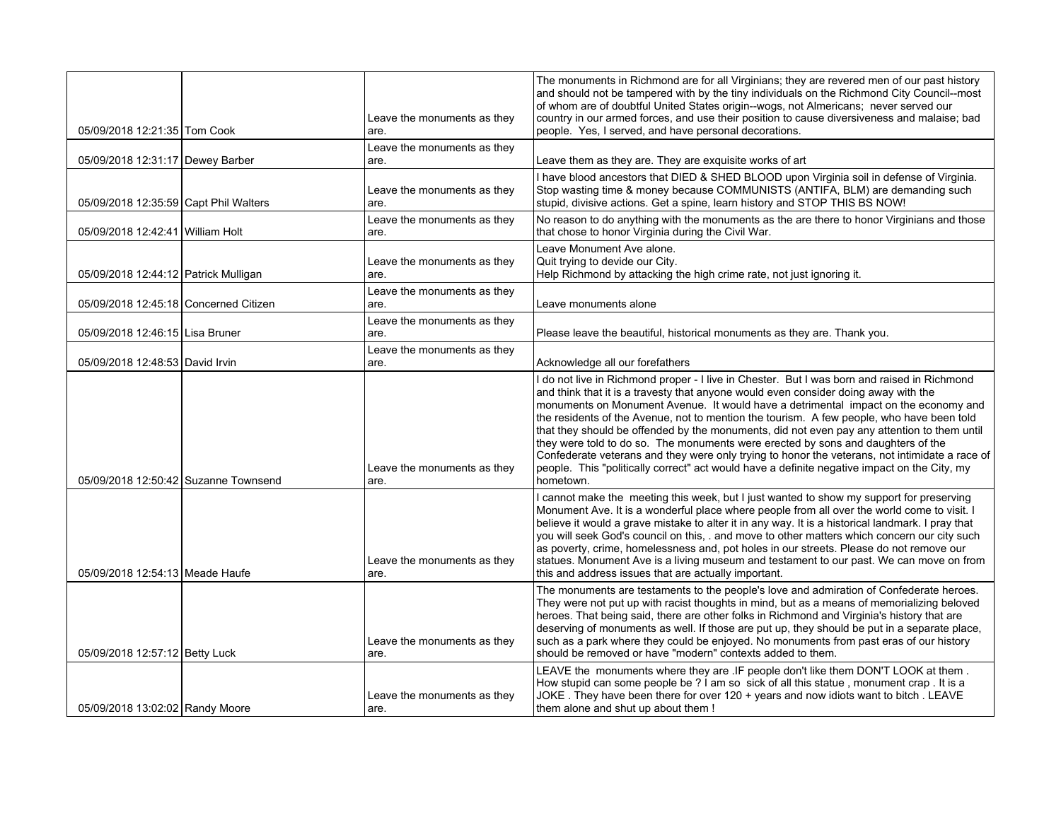|                                         | Leave the monuments as they         | The monuments in Richmond are for all Virginians; they are revered men of our past history<br>and should not be tampered with by the tiny individuals on the Richmond City Council--most<br>of whom are of doubtful United States origin--wogs, not Almericans; never served our<br>country in our armed forces, and use their position to cause diversiveness and malaise; bad                                                                                                                                                                                                                                                                                                                                                                                          |
|-----------------------------------------|-------------------------------------|--------------------------------------------------------------------------------------------------------------------------------------------------------------------------------------------------------------------------------------------------------------------------------------------------------------------------------------------------------------------------------------------------------------------------------------------------------------------------------------------------------------------------------------------------------------------------------------------------------------------------------------------------------------------------------------------------------------------------------------------------------------------------|
| 05/09/2018 12:21:35 Tom Cook            | are.                                | people. Yes, I served, and have personal decorations.                                                                                                                                                                                                                                                                                                                                                                                                                                                                                                                                                                                                                                                                                                                    |
| 05/09/2018 12:31:17 Dewey Barber        | Leave the monuments as they<br>are. | Leave them as they are. They are exquisite works of art                                                                                                                                                                                                                                                                                                                                                                                                                                                                                                                                                                                                                                                                                                                  |
| 05/09/2018 12:35:59 Capt Phil Walters   | Leave the monuments as they<br>are. | I have blood ancestors that DIED & SHED BLOOD upon Virginia soil in defense of Virginia.<br>Stop wasting time & money because COMMUNISTS (ANTIFA, BLM) are demanding such<br>stupid, divisive actions. Get a spine, learn history and STOP THIS BS NOW!                                                                                                                                                                                                                                                                                                                                                                                                                                                                                                                  |
| 05/09/2018 12:42:41 William Holt        | Leave the monuments as they<br>are. | No reason to do anything with the monuments as the are there to honor Virginians and those<br>that chose to honor Virginia during the Civil War.                                                                                                                                                                                                                                                                                                                                                                                                                                                                                                                                                                                                                         |
| 05/09/2018 12:44:12 Patrick Mulligan    | Leave the monuments as they<br>are. | Leave Monument Ave alone.<br>Quit trying to devide our City.<br>Help Richmond by attacking the high crime rate, not just ignoring it.                                                                                                                                                                                                                                                                                                                                                                                                                                                                                                                                                                                                                                    |
| 05/09/2018 12:45:18   Concerned Citizen | Leave the monuments as they<br>are. | Leave monuments alone                                                                                                                                                                                                                                                                                                                                                                                                                                                                                                                                                                                                                                                                                                                                                    |
| 05/09/2018 12:46:15 Lisa Bruner         | Leave the monuments as they<br>are. | Please leave the beautiful, historical monuments as they are. Thank you.                                                                                                                                                                                                                                                                                                                                                                                                                                                                                                                                                                                                                                                                                                 |
| 05/09/2018 12:48:53 David Irvin         | Leave the monuments as they<br>are. | Acknowledge all our forefathers                                                                                                                                                                                                                                                                                                                                                                                                                                                                                                                                                                                                                                                                                                                                          |
| 05/09/2018 12:50:42 Suzanne Townsend    | Leave the monuments as they<br>are. | I do not live in Richmond proper - I live in Chester. But I was born and raised in Richmond<br>and think that it is a travesty that anyone would even consider doing away with the<br>monuments on Monument Avenue. It would have a detrimental impact on the economy and<br>the residents of the Avenue, not to mention the tourism. A few people, who have been told<br>that they should be offended by the monuments, did not even pay any attention to them until<br>they were told to do so. The monuments were erected by sons and daughters of the<br>Confederate veterans and they were only trying to honor the veterans, not intimidate a race of<br>people. This "politically correct" act would have a definite negative impact on the City, my<br>hometown. |
| 05/09/2018 12:54:13 Meade Haufe         | Leave the monuments as they<br>are. | I cannot make the meeting this week, but I just wanted to show my support for preserving<br>Monument Ave. It is a wonderful place where people from all over the world come to visit. I<br>believe it would a grave mistake to alter it in any way. It is a historical landmark. I pray that<br>you will seek God's council on this, . and move to other matters which concern our city such<br>as poverty, crime, homelessness and, pot holes in our streets. Please do not remove our<br>statues. Monument Ave is a living museum and testament to our past. We can move on from<br>this and address issues that are actually important.                                                                                                                               |
| 05/09/2018 12:57:12 Betty Luck          | Leave the monuments as they<br>are. | The monuments are testaments to the people's love and admiration of Confederate heroes.<br>They were not put up with racist thoughts in mind, but as a means of memorializing beloved<br>heroes. That being said, there are other folks in Richmond and Virginia's history that are<br>deserving of monuments as well. If those are put up, they should be put in a separate place,<br>such as a park where they could be enjoyed. No monuments from past eras of our history<br>should be removed or have "modern" contexts added to them.                                                                                                                                                                                                                              |
| 05/09/2018 13:02:02 Randy Moore         | Leave the monuments as they<br>are. | LEAVE the monuments where they are .IF people don't like them DON'T LOOK at them.<br>How stupid can some people be ? I am so sick of all this statue, monument crap. It is a<br>JOKE. They have been there for over 120 + years and now idiots want to bitch. LEAVE<br>them alone and shut up about them!                                                                                                                                                                                                                                                                                                                                                                                                                                                                |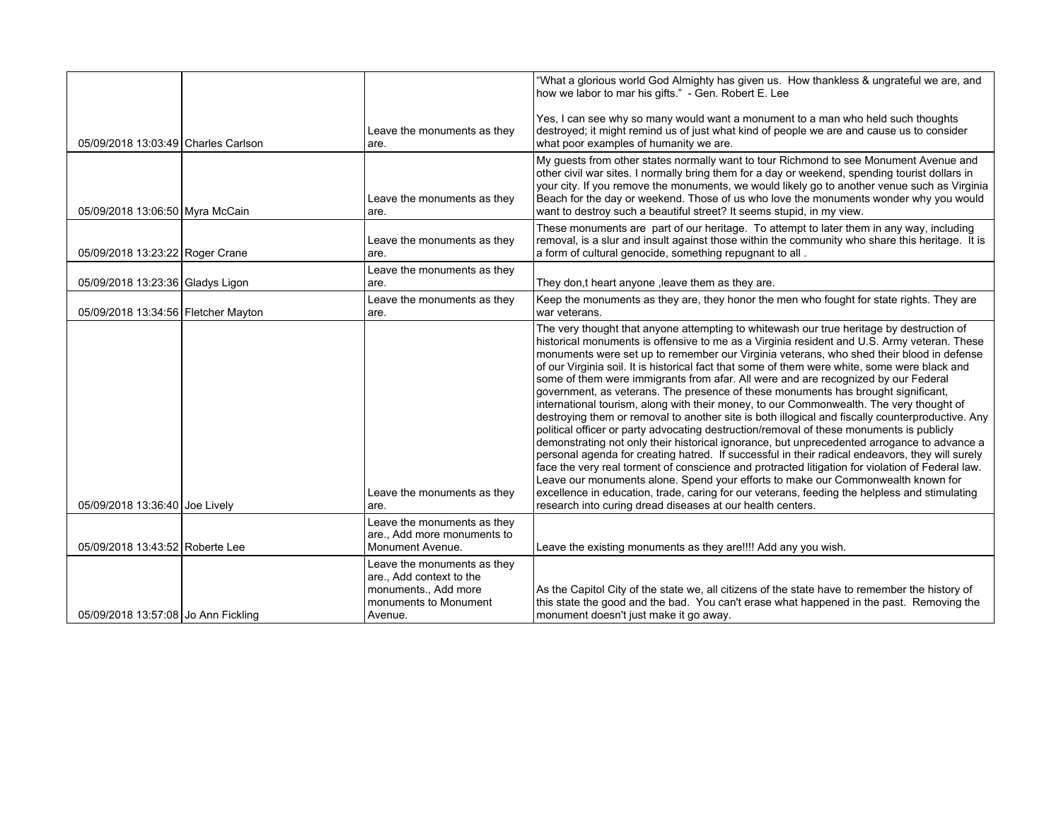|                                     |                                                                                                                     | "What a glorious world God Almighty has given us. How thankless & ungrateful we are, and<br>how we labor to mar his gifts." - Gen. Robert E. Lee                                                                                                                                                                                                                                                                                                                                                                                                                                                                                                                                                                                                                                                                                                                                                                                                                                                                                                                                                                                                                                                                                                                                                                                                                                                                    |
|-------------------------------------|---------------------------------------------------------------------------------------------------------------------|---------------------------------------------------------------------------------------------------------------------------------------------------------------------------------------------------------------------------------------------------------------------------------------------------------------------------------------------------------------------------------------------------------------------------------------------------------------------------------------------------------------------------------------------------------------------------------------------------------------------------------------------------------------------------------------------------------------------------------------------------------------------------------------------------------------------------------------------------------------------------------------------------------------------------------------------------------------------------------------------------------------------------------------------------------------------------------------------------------------------------------------------------------------------------------------------------------------------------------------------------------------------------------------------------------------------------------------------------------------------------------------------------------------------|
| 05/09/2018 13:03:49 Charles Carlson | Leave the monuments as they<br>are.                                                                                 | Yes, I can see why so many would want a monument to a man who held such thoughts<br>destroyed; it might remind us of just what kind of people we are and cause us to consider<br>what poor examples of humanity we are.                                                                                                                                                                                                                                                                                                                                                                                                                                                                                                                                                                                                                                                                                                                                                                                                                                                                                                                                                                                                                                                                                                                                                                                             |
| 05/09/2018 13:06:50 Myra McCain     | Leave the monuments as they<br>are.                                                                                 | My guests from other states normally want to tour Richmond to see Monument Avenue and<br>other civil war sites. I normally bring them for a day or weekend, spending tourist dollars in<br>your city. If you remove the monuments, we would likely go to another venue such as Virginia<br>Beach for the day or weekend. Those of us who love the monuments wonder why you would<br>want to destroy such a beautiful street? It seems stupid, in my view.                                                                                                                                                                                                                                                                                                                                                                                                                                                                                                                                                                                                                                                                                                                                                                                                                                                                                                                                                           |
| 05/09/2018 13:23:22 Roger Crane     | Leave the monuments as they<br>are.                                                                                 | These monuments are part of our heritage. To attempt to later them in any way, including<br>removal, is a slur and insult against those within the community who share this heritage. It is<br>a form of cultural genocide, something repugnant to all.                                                                                                                                                                                                                                                                                                                                                                                                                                                                                                                                                                                                                                                                                                                                                                                                                                                                                                                                                                                                                                                                                                                                                             |
| 05/09/2018 13:23:36 Gladys Ligon    | Leave the monuments as they<br>are.                                                                                 | They don,t heart anyone, leave them as they are.                                                                                                                                                                                                                                                                                                                                                                                                                                                                                                                                                                                                                                                                                                                                                                                                                                                                                                                                                                                                                                                                                                                                                                                                                                                                                                                                                                    |
| 05/09/2018 13:34:56 Fletcher Mayton | Leave the monuments as they<br>are.                                                                                 | Keep the monuments as they are, they honor the men who fought for state rights. They are<br>war veterans.                                                                                                                                                                                                                                                                                                                                                                                                                                                                                                                                                                                                                                                                                                                                                                                                                                                                                                                                                                                                                                                                                                                                                                                                                                                                                                           |
| 05/09/2018 13:36:40 Joe Lively      | Leave the monuments as they<br>are.                                                                                 | The very thought that anyone attempting to whitewash our true heritage by destruction of<br>historical monuments is offensive to me as a Virginia resident and U.S. Army veteran. These<br>monuments were set up to remember our Virginia veterans, who shed their blood in defense<br>of our Virginia soil. It is historical fact that some of them were white, some were black and<br>some of them were immigrants from afar. All were and are recognized by our Federal<br>government, as veterans. The presence of these monuments has brought significant,<br>international tourism, along with their money, to our Commonwealth. The very thought of<br>destroying them or removal to another site is both illogical and fiscally counterproductive. Any<br>political officer or party advocating destruction/removal of these monuments is publicly<br>demonstrating not only their historical ignorance, but unprecedented arrogance to advance a<br>personal agenda for creating hatred. If successful in their radical endeavors, they will surely<br>face the very real torment of conscience and protracted litigation for violation of Federal law.<br>Leave our monuments alone. Spend your efforts to make our Commonwealth known for<br>excellence in education, trade, caring for our veterans, feeding the helpless and stimulating<br>research into curing dread diseases at our health centers. |
|                                     | Leave the monuments as they<br>are., Add more monuments to                                                          |                                                                                                                                                                                                                                                                                                                                                                                                                                                                                                                                                                                                                                                                                                                                                                                                                                                                                                                                                                                                                                                                                                                                                                                                                                                                                                                                                                                                                     |
| 05/09/2018 13:43:52 Roberte Lee     | Monument Avenue.                                                                                                    | Leave the existing monuments as they are!!!! Add any you wish.                                                                                                                                                                                                                                                                                                                                                                                                                                                                                                                                                                                                                                                                                                                                                                                                                                                                                                                                                                                                                                                                                                                                                                                                                                                                                                                                                      |
| 05/09/2018 13:57:08 Jo Ann Fickling | Leave the monuments as they<br>are., Add context to the<br>monuments., Add more<br>monuments to Monument<br>Avenue. | As the Capitol City of the state we, all citizens of the state have to remember the history of<br>this state the good and the bad. You can't erase what happened in the past. Removing the<br>monument doesn't just make it go away.                                                                                                                                                                                                                                                                                                                                                                                                                                                                                                                                                                                                                                                                                                                                                                                                                                                                                                                                                                                                                                                                                                                                                                                |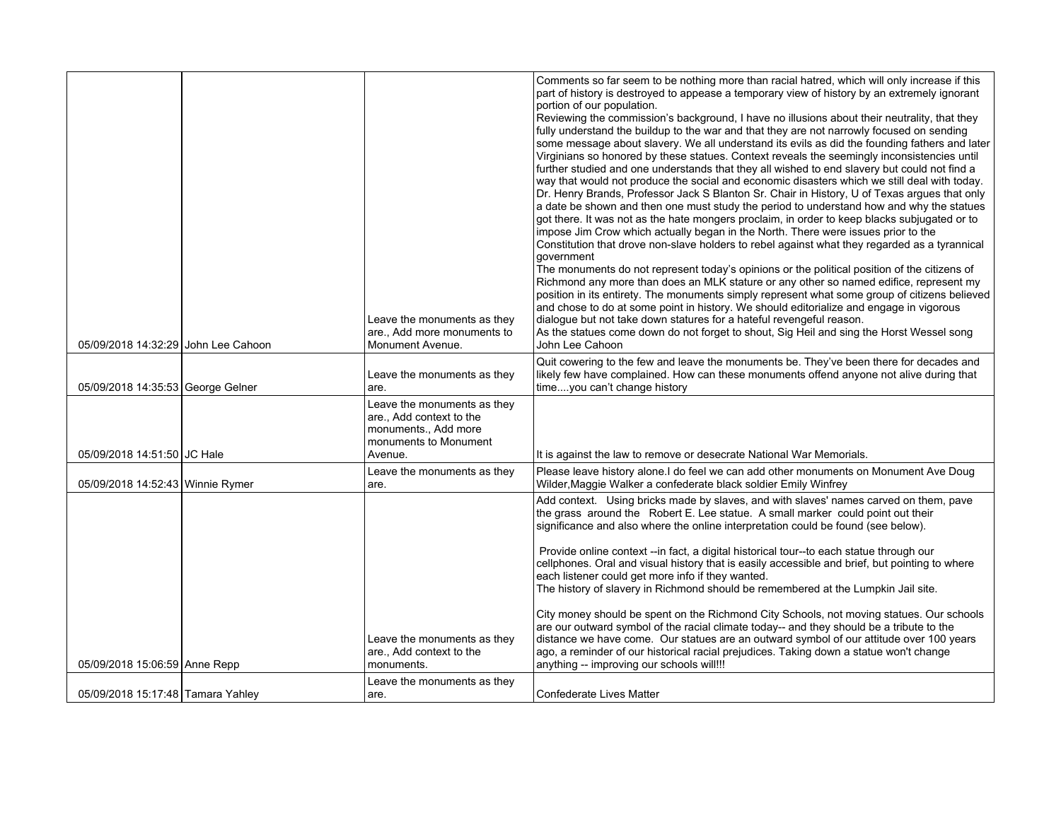| 05/09/2018 14:32:29 John Lee Cahoon | Leave the monuments as they<br>are., Add more monuments to<br>Monument Avenue.                                      | Comments so far seem to be nothing more than racial hatred, which will only increase if this<br>part of history is destroyed to appease a temporary view of history by an extremely ignorant<br>portion of our population.<br>Reviewing the commission's background, I have no illusions about their neutrality, that they<br>fully understand the buildup to the war and that they are not narrowly focused on sending<br>some message about slavery. We all understand its evils as did the founding fathers and later<br>Virginians so honored by these statues. Context reveals the seemingly inconsistencies until<br>further studied and one understands that they all wished to end slavery but could not find a<br>way that would not produce the social and economic disasters which we still deal with today.<br>Dr. Henry Brands, Professor Jack S Blanton Sr. Chair in History, U of Texas argues that only<br>a date be shown and then one must study the period to understand how and why the statues<br>got there. It was not as the hate mongers proclaim, in order to keep blacks subjugated or to<br>impose Jim Crow which actually began in the North. There were issues prior to the<br>Constitution that drove non-slave holders to rebel against what they regarded as a tyrannical<br>government<br>The monuments do not represent today's opinions or the political position of the citizens of<br>Richmond any more than does an MLK stature or any other so named edifice, represent my<br>position in its entirety. The monuments simply represent what some group of citizens believed<br>and chose to do at some point in history. We should editorialize and engage in vigorous<br>dialogue but not take down statures for a hateful revengeful reason.<br>As the statues come down do not forget to shout, Sig Heil and sing the Horst Wessel song<br>John Lee Cahoon |
|-------------------------------------|---------------------------------------------------------------------------------------------------------------------|------------------------------------------------------------------------------------------------------------------------------------------------------------------------------------------------------------------------------------------------------------------------------------------------------------------------------------------------------------------------------------------------------------------------------------------------------------------------------------------------------------------------------------------------------------------------------------------------------------------------------------------------------------------------------------------------------------------------------------------------------------------------------------------------------------------------------------------------------------------------------------------------------------------------------------------------------------------------------------------------------------------------------------------------------------------------------------------------------------------------------------------------------------------------------------------------------------------------------------------------------------------------------------------------------------------------------------------------------------------------------------------------------------------------------------------------------------------------------------------------------------------------------------------------------------------------------------------------------------------------------------------------------------------------------------------------------------------------------------------------------------------------------------------------------------------------------------------------------------------------------------------------------|
| 05/09/2018 14:35:53 George Gelner   | Leave the monuments as they<br>are.                                                                                 | Quit cowering to the few and leave the monuments be. They've been there for decades and<br>likely few have complained. How can these monuments offend anyone not alive during that<br>timeyou can't change history                                                                                                                                                                                                                                                                                                                                                                                                                                                                                                                                                                                                                                                                                                                                                                                                                                                                                                                                                                                                                                                                                                                                                                                                                                                                                                                                                                                                                                                                                                                                                                                                                                                                                   |
| 05/09/2018 14:51:50 JC Hale         | Leave the monuments as they<br>are., Add context to the<br>monuments., Add more<br>monuments to Monument<br>Avenue. | It is against the law to remove or desecrate National War Memorials.                                                                                                                                                                                                                                                                                                                                                                                                                                                                                                                                                                                                                                                                                                                                                                                                                                                                                                                                                                                                                                                                                                                                                                                                                                                                                                                                                                                                                                                                                                                                                                                                                                                                                                                                                                                                                                 |
| 05/09/2018 14:52:43 Winnie Rymer    | Leave the monuments as they<br>are.                                                                                 | Please leave history alone.I do feel we can add other monuments on Monument Ave Doug<br>Wilder, Maggie Walker a confederate black soldier Emily Winfrey                                                                                                                                                                                                                                                                                                                                                                                                                                                                                                                                                                                                                                                                                                                                                                                                                                                                                                                                                                                                                                                                                                                                                                                                                                                                                                                                                                                                                                                                                                                                                                                                                                                                                                                                              |
| 05/09/2018 15:06:59 Anne Repp       | Leave the monuments as they<br>are., Add context to the<br>monuments.                                               | Add context. Using bricks made by slaves, and with slaves' names carved on them, pave<br>the grass around the Robert E. Lee statue. A small marker could point out their<br>significance and also where the online interpretation could be found (see below).<br>Provide online context -- in fact, a digital historical tour--to each statue through our<br>cellphones. Oral and visual history that is easily accessible and brief, but pointing to where<br>each listener could get more info if they wanted.<br>The history of slavery in Richmond should be remembered at the Lumpkin Jail site.<br>City money should be spent on the Richmond City Schools, not moving statues. Our schools<br>are our outward symbol of the racial climate today-- and they should be a tribute to the<br>distance we have come. Our statues are an outward symbol of our attitude over 100 years<br>ago, a reminder of our historical racial prejudices. Taking down a statue won't change<br>anything -- improving our schools will!!!                                                                                                                                                                                                                                                                                                                                                                                                                                                                                                                                                                                                                                                                                                                                                                                                                                                                      |
| 05/09/2018 15:17:48 Tamara Yahley   | Leave the monuments as they<br>are.                                                                                 | <b>Confederate Lives Matter</b>                                                                                                                                                                                                                                                                                                                                                                                                                                                                                                                                                                                                                                                                                                                                                                                                                                                                                                                                                                                                                                                                                                                                                                                                                                                                                                                                                                                                                                                                                                                                                                                                                                                                                                                                                                                                                                                                      |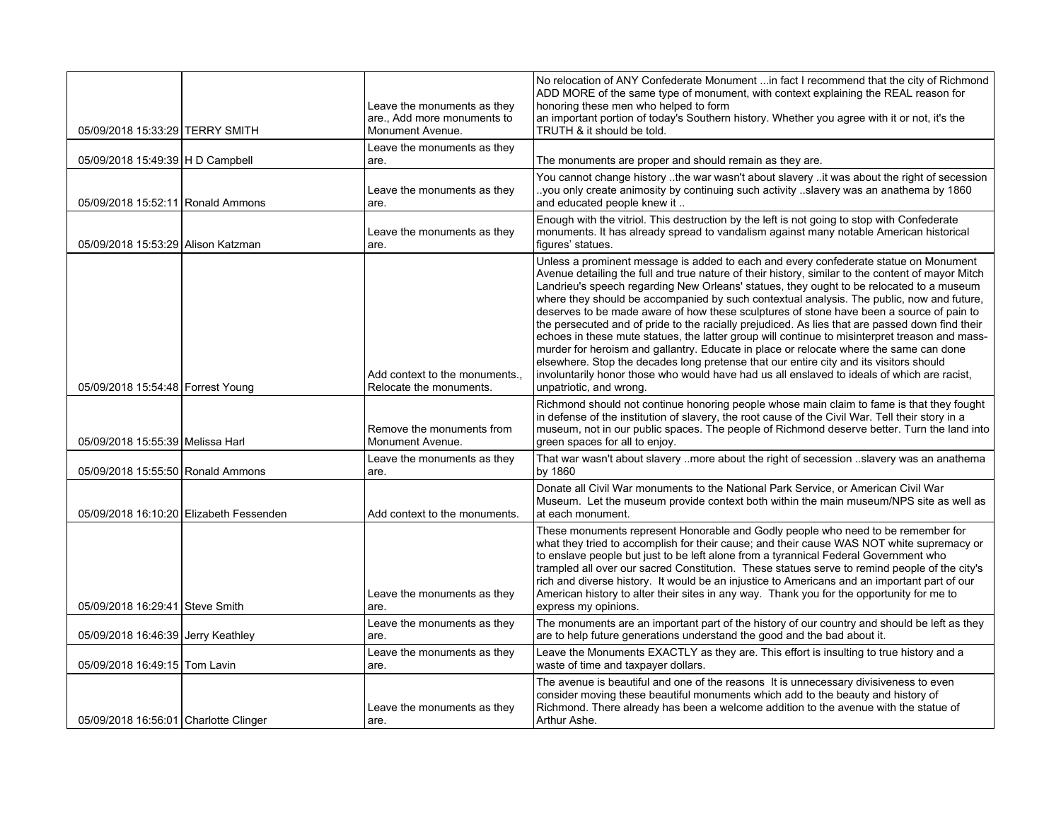| 05/09/2018 15:33:29 TERRY SMITH       |                                         | Leave the monuments as they<br>are., Add more monuments to<br>Monument Avenue. | No relocation of ANY Confederate Monument in fact I recommend that the city of Richmond<br>ADD MORE of the same type of monument, with context explaining the REAL reason for<br>honoring these men who helped to form<br>an important portion of today's Southern history. Whether you agree with it or not, it's the<br>TRUTH & it should be told.                                                                                                                                                                                                                                                                                                                                                                                                                                                                                                                                                                                                                                              |
|---------------------------------------|-----------------------------------------|--------------------------------------------------------------------------------|---------------------------------------------------------------------------------------------------------------------------------------------------------------------------------------------------------------------------------------------------------------------------------------------------------------------------------------------------------------------------------------------------------------------------------------------------------------------------------------------------------------------------------------------------------------------------------------------------------------------------------------------------------------------------------------------------------------------------------------------------------------------------------------------------------------------------------------------------------------------------------------------------------------------------------------------------------------------------------------------------|
|                                       |                                         | Leave the monuments as they                                                    |                                                                                                                                                                                                                                                                                                                                                                                                                                                                                                                                                                                                                                                                                                                                                                                                                                                                                                                                                                                                   |
| 05/09/2018 15:49:39   H D Campbell    |                                         | are.                                                                           | The monuments are proper and should remain as they are.                                                                                                                                                                                                                                                                                                                                                                                                                                                                                                                                                                                                                                                                                                                                                                                                                                                                                                                                           |
| 05/09/2018 15:52:11 Ronald Ammons     |                                         | Leave the monuments as they<br>are.                                            | You cannot change history the war wasn't about slavery it was about the right of secession<br>.you only create animosity by continuing such activity .slavery was an anathema by 1860.<br>and educated people knew it                                                                                                                                                                                                                                                                                                                                                                                                                                                                                                                                                                                                                                                                                                                                                                             |
| 05/09/2018 15:53:29 Alison Katzman    |                                         | Leave the monuments as they<br>are.                                            | Enough with the vitriol. This destruction by the left is not going to stop with Confederate<br>monuments. It has already spread to vandalism against many notable American historical<br>figures' statues.                                                                                                                                                                                                                                                                                                                                                                                                                                                                                                                                                                                                                                                                                                                                                                                        |
| 05/09/2018 15:54:48 Forrest Young     |                                         | Add context to the monuments<br>Relocate the monuments.                        | Unless a prominent message is added to each and every confederate statue on Monument<br>Avenue detailing the full and true nature of their history, similar to the content of mayor Mitch<br>Landrieu's speech regarding New Orleans' statues, they ought to be relocated to a museum<br>where they should be accompanied by such contextual analysis. The public, now and future,<br>deserves to be made aware of how these sculptures of stone have been a source of pain to<br>the persecuted and of pride to the racially prejudiced. As lies that are passed down find their<br>echoes in these mute statues, the latter group will continue to misinterpret treason and mass-<br>murder for heroism and gallantry. Educate in place or relocate where the same can done<br>elsewhere. Stop the decades long pretense that our entire city and its visitors should<br>involuntarily honor those who would have had us all enslaved to ideals of which are racist,<br>unpatriotic, and wrong. |
| 05/09/2018 15:55:39 Melissa Harl      |                                         | Remove the monuments from<br>Monument Avenue.                                  | Richmond should not continue honoring people whose main claim to fame is that they fought<br>in defense of the institution of slavery, the root cause of the Civil War. Tell their story in a<br>museum, not in our public spaces. The people of Richmond deserve better. Turn the land into<br>green spaces for all to enjoy.                                                                                                                                                                                                                                                                                                                                                                                                                                                                                                                                                                                                                                                                    |
| 05/09/2018 15:55:50 Ronald Ammons     |                                         | Leave the monuments as they<br>are.                                            | That war wasn't about slavery more about the right of secession slavery was an anathema<br>by 1860                                                                                                                                                                                                                                                                                                                                                                                                                                                                                                                                                                                                                                                                                                                                                                                                                                                                                                |
|                                       | 05/09/2018 16:10:20 Elizabeth Fessenden | Add context to the monuments.                                                  | Donate all Civil War monuments to the National Park Service, or American Civil War<br>Museum. Let the museum provide context both within the main museum/NPS site as well as<br>at each monument.                                                                                                                                                                                                                                                                                                                                                                                                                                                                                                                                                                                                                                                                                                                                                                                                 |
| 05/09/2018 16:29:41 Steve Smith       |                                         | Leave the monuments as they<br>are.                                            | These monuments represent Honorable and Godly people who need to be remember for<br>what they tried to accomplish for their cause; and their cause WAS NOT white supremacy or<br>to enslave people but just to be left alone from a tyrannical Federal Government who<br>trampled all over our sacred Constitution. These statues serve to remind people of the city's<br>rich and diverse history. It would be an injustice to Americans and an important part of our<br>American history to alter their sites in any way. Thank you for the opportunity for me to<br>express my opinions.                                                                                                                                                                                                                                                                                                                                                                                                       |
| 05/09/2018 16:46:39 Jerry Keathley    |                                         | Leave the monuments as they<br>are.                                            | The monuments are an important part of the history of our country and should be left as they<br>are to help future generations understand the good and the bad about it.                                                                                                                                                                                                                                                                                                                                                                                                                                                                                                                                                                                                                                                                                                                                                                                                                          |
| 05/09/2018 16:49:15 Tom Lavin         |                                         | Leave the monuments as they<br>are.                                            | Leave the Monuments EXACTLY as they are. This effort is insulting to true history and a<br>waste of time and taxpayer dollars.                                                                                                                                                                                                                                                                                                                                                                                                                                                                                                                                                                                                                                                                                                                                                                                                                                                                    |
| 05/09/2018 16:56:01 Charlotte Clinger |                                         | Leave the monuments as they<br>are.                                            | The avenue is beautiful and one of the reasons It is unnecessary divisiveness to even<br>consider moving these beautiful monuments which add to the beauty and history of<br>Richmond. There already has been a welcome addition to the avenue with the statue of<br>Arthur Ashe.                                                                                                                                                                                                                                                                                                                                                                                                                                                                                                                                                                                                                                                                                                                 |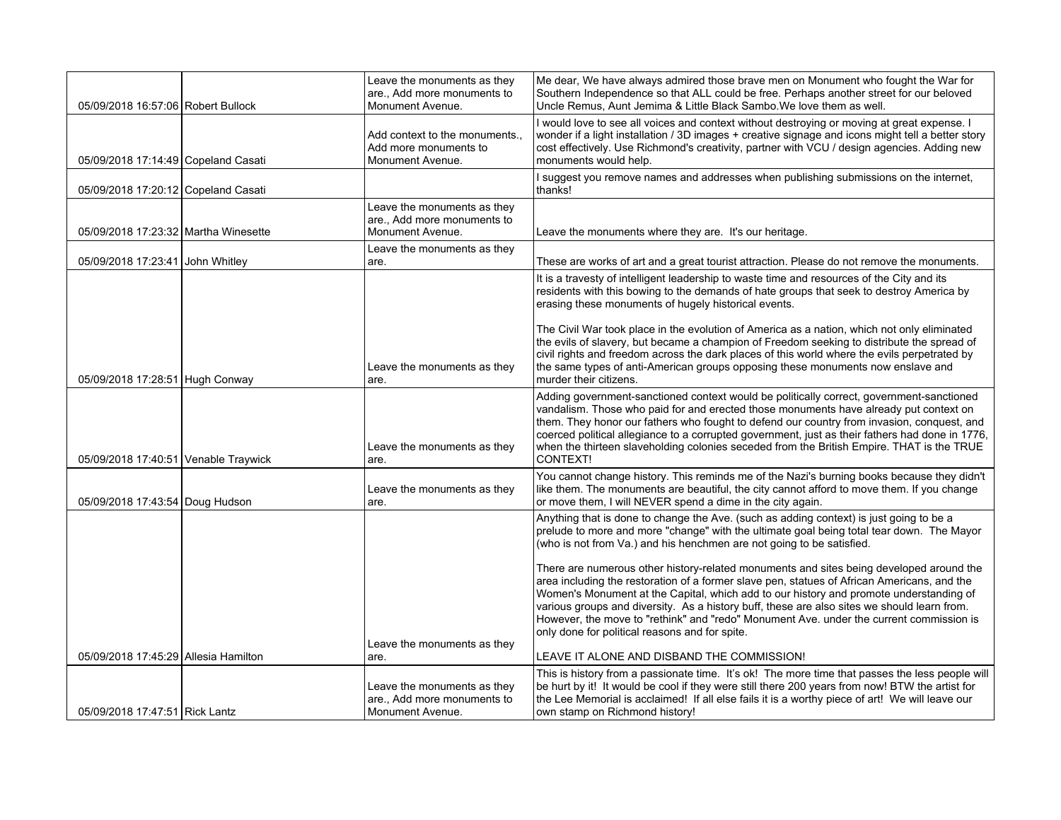| 05/09/2018 16:57:06 Robert Bullock   | Leave the monuments as they<br>are., Add more monuments to<br>Monument Avenue. | Me dear, We have always admired those brave men on Monument who fought the War for<br>Southern Independence so that ALL could be free. Perhaps another street for our beloved<br>Uncle Remus, Aunt Jemima & Little Black Sambo. We love them as well.                                                                                                                                                                                                                                                                        |
|--------------------------------------|--------------------------------------------------------------------------------|------------------------------------------------------------------------------------------------------------------------------------------------------------------------------------------------------------------------------------------------------------------------------------------------------------------------------------------------------------------------------------------------------------------------------------------------------------------------------------------------------------------------------|
| 05/09/2018 17:14:49 Copeland Casati  | Add context to the monuments.,<br>Add more monuments to<br>Monument Avenue.    | I would love to see all voices and context without destroying or moving at great expense. I<br>wonder if a light installation / 3D images + creative signage and icons might tell a better story<br>cost effectively. Use Richmond's creativity, partner with VCU / design agencies. Adding new<br>monuments would help.                                                                                                                                                                                                     |
| 05/09/2018 17:20:12 Copeland Casati  |                                                                                | I suggest you remove names and addresses when publishing submissions on the internet,<br>thanks!                                                                                                                                                                                                                                                                                                                                                                                                                             |
| 05/09/2018 17:23:32 Martha Winesette | Leave the monuments as they<br>are., Add more monuments to<br>Monument Avenue. | Leave the monuments where they are. It's our heritage.                                                                                                                                                                                                                                                                                                                                                                                                                                                                       |
| 05/09/2018 17:23:41 John Whitley     | Leave the monuments as they<br>are.                                            | These are works of art and a great tourist attraction. Please do not remove the monuments.                                                                                                                                                                                                                                                                                                                                                                                                                                   |
|                                      |                                                                                | It is a travesty of intelligent leadership to waste time and resources of the City and its<br>residents with this bowing to the demands of hate groups that seek to destroy America by<br>erasing these monuments of hugely historical events.                                                                                                                                                                                                                                                                               |
| 05/09/2018 17:28:51 Hugh Conway      | Leave the monuments as they<br>are.                                            | The Civil War took place in the evolution of America as a nation, which not only eliminated<br>the evils of slavery, but became a champion of Freedom seeking to distribute the spread of<br>civil rights and freedom across the dark places of this world where the evils perpetrated by<br>the same types of anti-American groups opposing these monuments now enslave and<br>murder their citizens.                                                                                                                       |
| 05/09/2018 17:40:51 Venable Traywick | Leave the monuments as they<br>are.                                            | Adding government-sanctioned context would be politically correct, government-sanctioned<br>vandalism. Those who paid for and erected those monuments have already put context on<br>them. They honor our fathers who fought to defend our country from invasion, conquest, and<br>coerced political allegiance to a corrupted government, just as their fathers had done in 1776,<br>when the thirteen slaveholding colonies seceded from the British Empire. THAT is the TRUE<br>CONTEXT!                                  |
| 05/09/2018 17:43:54 Doug Hudson      | Leave the monuments as they<br>are.                                            | You cannot change history. This reminds me of the Nazi's burning books because they didn't<br>like them. The monuments are beautiful, the city cannot afford to move them. If you change<br>or move them, I will NEVER spend a dime in the city again.                                                                                                                                                                                                                                                                       |
|                                      |                                                                                | Anything that is done to change the Ave. (such as adding context) is just going to be a<br>prelude to more and more "change" with the ultimate goal being total tear down. The Mayor<br>(who is not from Va.) and his henchmen are not going to be satisfied.                                                                                                                                                                                                                                                                |
|                                      | Leave the monuments as they                                                    | There are numerous other history-related monuments and sites being developed around the<br>area including the restoration of a former slave pen, statues of African Americans, and the<br>Women's Monument at the Capital, which add to our history and promote understanding of<br>various groups and diversity. As a history buff, these are also sites we should learn from.<br>However, the move to "rethink" and "redo" Monument Ave. under the current commission is<br>only done for political reasons and for spite. |
| 05/09/2018 17:45:29 Allesia Hamilton | are.                                                                           | LEAVE IT ALONE AND DISBAND THE COMMISSION!                                                                                                                                                                                                                                                                                                                                                                                                                                                                                   |
| 05/09/2018 17:47:51 Rick Lantz       | Leave the monuments as they<br>are., Add more monuments to<br>Monument Avenue. | This is history from a passionate time. It's ok! The more time that passes the less people will<br>be hurt by it! It would be cool if they were still there 200 years from now! BTW the artist for<br>the Lee Memorial is acclaimed! If all else fails it is a worthy piece of art! We will leave our<br>own stamp on Richmond history!                                                                                                                                                                                      |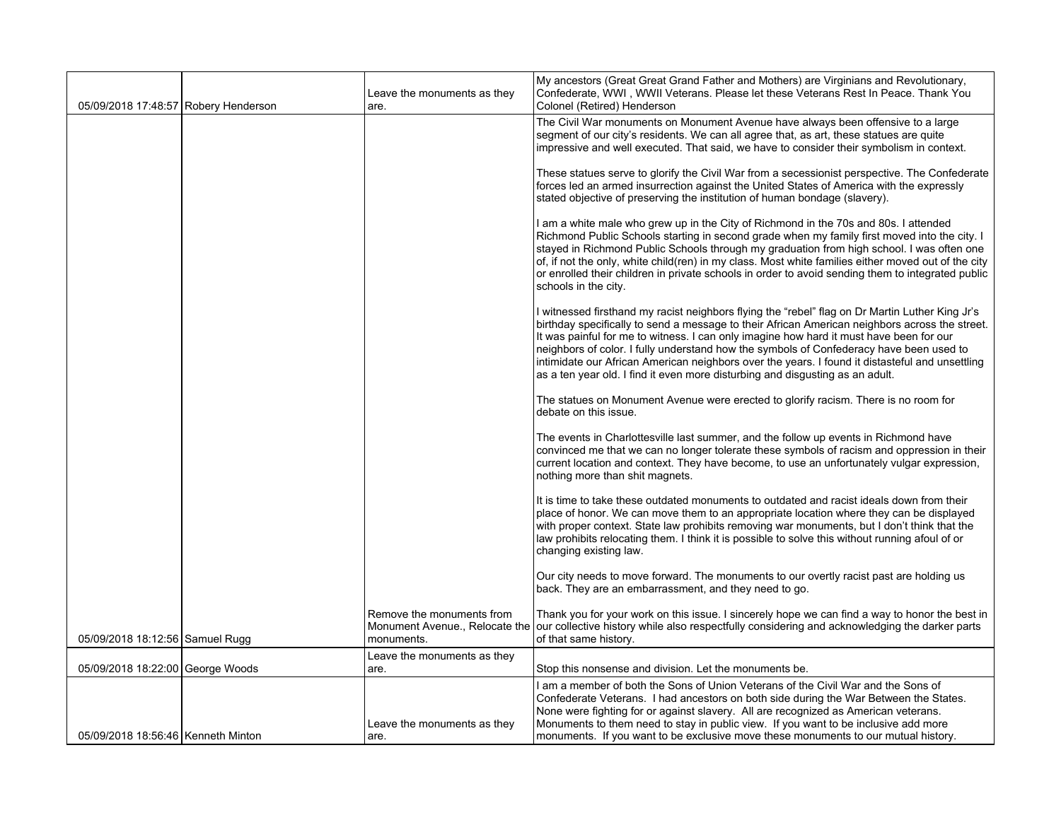| 05/09/2018 17:48:57 Robery Henderson | Leave the monuments as they<br>are.                                       | My ancestors (Great Great Grand Father and Mothers) are Virginians and Revolutionary,<br>Confederate, WWI, WWII Veterans. Please let these Veterans Rest In Peace. Thank You<br>Colonel (Retired) Henderson                                                                                                                                                                                                                                                                                                                                                                 |
|--------------------------------------|---------------------------------------------------------------------------|-----------------------------------------------------------------------------------------------------------------------------------------------------------------------------------------------------------------------------------------------------------------------------------------------------------------------------------------------------------------------------------------------------------------------------------------------------------------------------------------------------------------------------------------------------------------------------|
|                                      |                                                                           | The Civil War monuments on Monument Avenue have always been offensive to a large<br>segment of our city's residents. We can all agree that, as art, these statues are quite<br>impressive and well executed. That said, we have to consider their symbolism in context.                                                                                                                                                                                                                                                                                                     |
|                                      |                                                                           | These statues serve to glorify the Civil War from a secessionist perspective. The Confederate<br>forces led an armed insurrection against the United States of America with the expressly<br>stated objective of preserving the institution of human bondage (slavery).                                                                                                                                                                                                                                                                                                     |
|                                      |                                                                           | I am a white male who grew up in the City of Richmond in the 70s and 80s. I attended<br>Richmond Public Schools starting in second grade when my family first moved into the city. I<br>stayed in Richmond Public Schools through my graduation from high school. I was often one<br>of, if not the only, white child(ren) in my class. Most white families either moved out of the city<br>or enrolled their children in private schools in order to avoid sending them to integrated public<br>schools in the city.                                                       |
|                                      |                                                                           | I witnessed firsthand my racist neighbors flying the "rebel" flag on Dr Martin Luther King Jr's<br>birthday specifically to send a message to their African American neighbors across the street.<br>It was painful for me to witness. I can only imagine how hard it must have been for our<br>neighbors of color. I fully understand how the symbols of Confederacy have been used to<br>intimidate our African American neighbors over the years. I found it distasteful and unsettling<br>as a ten year old. I find it even more disturbing and disgusting as an adult. |
|                                      |                                                                           | The statues on Monument Avenue were erected to glorify racism. There is no room for<br>debate on this issue.                                                                                                                                                                                                                                                                                                                                                                                                                                                                |
|                                      |                                                                           | The events in Charlottesville last summer, and the follow up events in Richmond have<br>convinced me that we can no longer tolerate these symbols of racism and oppression in their<br>current location and context. They have become, to use an unfortunately vulgar expression,<br>nothing more than shit magnets.                                                                                                                                                                                                                                                        |
|                                      |                                                                           | It is time to take these outdated monuments to outdated and racist ideals down from their<br>place of honor. We can move them to an appropriate location where they can be displayed<br>with proper context. State law prohibits removing war monuments, but I don't think that the<br>law prohibits relocating them. I think it is possible to solve this without running afoul of or<br>changing existing law.                                                                                                                                                            |
|                                      |                                                                           | Our city needs to move forward. The monuments to our overtly racist past are holding us<br>back. They are an embarrassment, and they need to go.                                                                                                                                                                                                                                                                                                                                                                                                                            |
| 05/09/2018 18:12:56 Samuel Rugg      | Remove the monuments from<br>Monument Avenue., Relocate the<br>monuments. | Thank you for your work on this issue. I sincerely hope we can find a way to honor the best in<br>our collective history while also respectfully considering and acknowledging the darker parts<br>of that same history.                                                                                                                                                                                                                                                                                                                                                    |
| 05/09/2018 18:22:00 George Woods     | Leave the monuments as they<br>are.                                       | Stop this nonsense and division. Let the monuments be.                                                                                                                                                                                                                                                                                                                                                                                                                                                                                                                      |
| 05/09/2018 18:56:46 Kenneth Minton   | Leave the monuments as they<br>are.                                       | I am a member of both the Sons of Union Veterans of the Civil War and the Sons of<br>Confederate Veterans. I had ancestors on both side during the War Between the States.<br>None were fighting for or against slavery. All are recognized as American veterans.<br>Monuments to them need to stay in public view. If you want to be inclusive add more<br>monuments. If you want to be exclusive move these monuments to our mutual history.                                                                                                                              |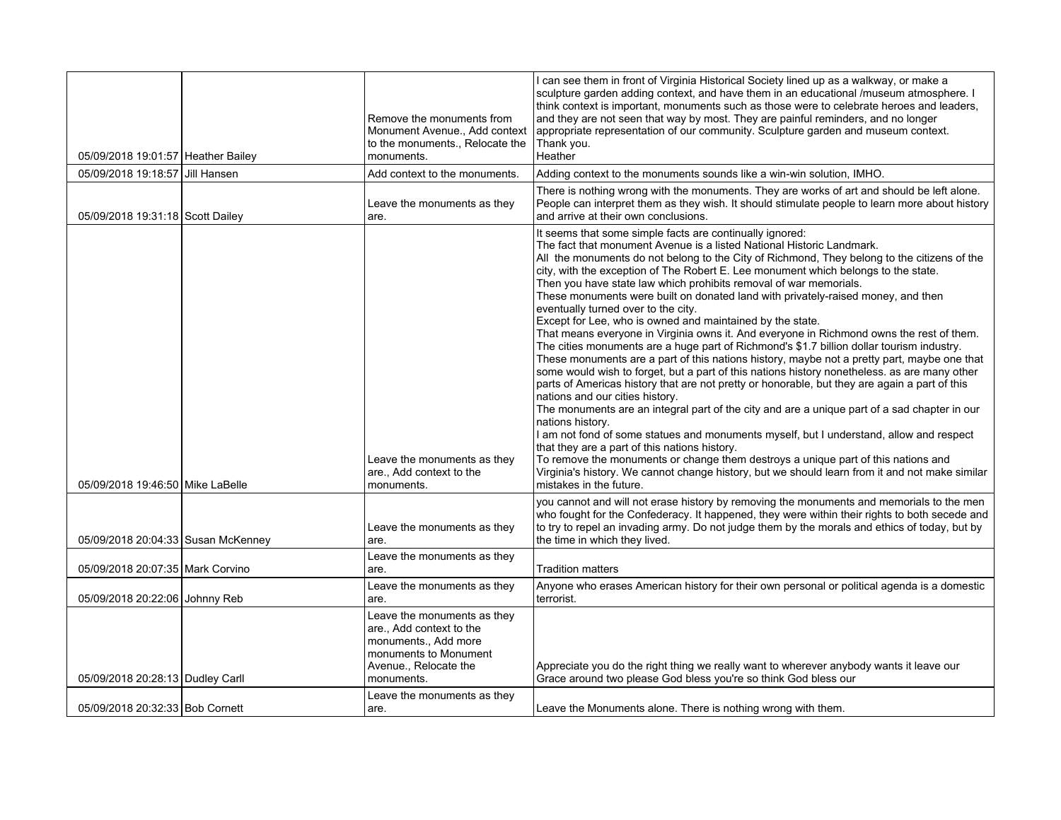| 05/09/2018 19:01:57 Heather Bailey | Remove the monuments from<br>Monument Avenue., Add context<br>to the monuments., Relocate the<br>monuments.                                     | I can see them in front of Virginia Historical Society lined up as a walkway, or make a<br>sculpture garden adding context, and have them in an educational /museum atmosphere. I<br>think context is important, monuments such as those were to celebrate heroes and leaders,<br>and they are not seen that way by most. They are painful reminders, and no longer<br>appropriate representation of our community. Sculpture garden and museum context.<br>Thank you.<br>Heather                                                                                                                                                                                                                                                                                                                                                                                                                                                                                                                                                                                                                                                                                                                                                                                                                                                                                                                                                                                                                                                                                                                 |
|------------------------------------|-------------------------------------------------------------------------------------------------------------------------------------------------|---------------------------------------------------------------------------------------------------------------------------------------------------------------------------------------------------------------------------------------------------------------------------------------------------------------------------------------------------------------------------------------------------------------------------------------------------------------------------------------------------------------------------------------------------------------------------------------------------------------------------------------------------------------------------------------------------------------------------------------------------------------------------------------------------------------------------------------------------------------------------------------------------------------------------------------------------------------------------------------------------------------------------------------------------------------------------------------------------------------------------------------------------------------------------------------------------------------------------------------------------------------------------------------------------------------------------------------------------------------------------------------------------------------------------------------------------------------------------------------------------------------------------------------------------------------------------------------------------|
| 05/09/2018 19:18:57 Jill Hansen    | Add context to the monuments.                                                                                                                   | Adding context to the monuments sounds like a win-win solution, IMHO.                                                                                                                                                                                                                                                                                                                                                                                                                                                                                                                                                                                                                                                                                                                                                                                                                                                                                                                                                                                                                                                                                                                                                                                                                                                                                                                                                                                                                                                                                                                             |
| 05/09/2018 19:31:18 Scott Dailey   | Leave the monuments as they<br>are.                                                                                                             | There is nothing wrong with the monuments. They are works of art and should be left alone.<br>People can interpret them as they wish. It should stimulate people to learn more about history<br>and arrive at their own conclusions.                                                                                                                                                                                                                                                                                                                                                                                                                                                                                                                                                                                                                                                                                                                                                                                                                                                                                                                                                                                                                                                                                                                                                                                                                                                                                                                                                              |
| 05/09/2018 19:46:50 Mike LaBelle   | Leave the monuments as they<br>are., Add context to the<br>monuments.                                                                           | It seems that some simple facts are continually ignored:<br>The fact that monument Avenue is a listed National Historic Landmark.<br>All the monuments do not belong to the City of Richmond, They belong to the citizens of the<br>city, with the exception of The Robert E. Lee monument which belongs to the state.<br>Then you have state law which prohibits removal of war memorials.<br>These monuments were built on donated land with privately-raised money, and then<br>eventually turned over to the city.<br>Except for Lee, who is owned and maintained by the state.<br>That means everyone in Virginia owns it. And everyone in Richmond owns the rest of them.<br>The cities monuments are a huge part of Richmond's \$1.7 billion dollar tourism industry.<br>These monuments are a part of this nations history, maybe not a pretty part, maybe one that<br>some would wish to forget, but a part of this nations history nonetheless. as are many other<br>parts of Americas history that are not pretty or honorable, but they are again a part of this<br>nations and our cities history.<br>The monuments are an integral part of the city and are a unique part of a sad chapter in our<br>nations history.<br>I am not fond of some statues and monuments myself, but I understand, allow and respect<br>that they are a part of this nations history.<br>To remove the monuments or change them destroys a unique part of this nations and<br>Virginia's history. We cannot change history, but we should learn from it and not make similar<br>mistakes in the future. |
| 05/09/2018 20:04:33 Susan McKenney | Leave the monuments as they<br>are.                                                                                                             | you cannot and will not erase history by removing the monuments and memorials to the men<br>who fought for the Confederacy. It happened, they were within their rights to both secede and<br>to try to repel an invading army. Do not judge them by the morals and ethics of today, but by<br>the time in which they lived.                                                                                                                                                                                                                                                                                                                                                                                                                                                                                                                                                                                                                                                                                                                                                                                                                                                                                                                                                                                                                                                                                                                                                                                                                                                                       |
| 05/09/2018 20:07:35 Mark Corvino   | Leave the monuments as they<br>are.                                                                                                             | <b>Tradition matters</b>                                                                                                                                                                                                                                                                                                                                                                                                                                                                                                                                                                                                                                                                                                                                                                                                                                                                                                                                                                                                                                                                                                                                                                                                                                                                                                                                                                                                                                                                                                                                                                          |
| 05/09/2018 20:22:06 Johnny Reb     | Leave the monuments as they<br>are.                                                                                                             | Anyone who erases American history for their own personal or political agenda is a domestic<br>terrorist.                                                                                                                                                                                                                                                                                                                                                                                                                                                                                                                                                                                                                                                                                                                                                                                                                                                                                                                                                                                                                                                                                                                                                                                                                                                                                                                                                                                                                                                                                         |
| 05/09/2018 20:28:13 Dudley Carll   | Leave the monuments as they<br>are., Add context to the<br>monuments., Add more<br>monuments to Monument<br>Avenue., Relocate the<br>monuments. | Appreciate you do the right thing we really want to wherever anybody wants it leave our<br>Grace around two please God bless you're so think God bless our                                                                                                                                                                                                                                                                                                                                                                                                                                                                                                                                                                                                                                                                                                                                                                                                                                                                                                                                                                                                                                                                                                                                                                                                                                                                                                                                                                                                                                        |
| 05/09/2018 20:32:33 Bob Cornett    | Leave the monuments as they<br>are.                                                                                                             | Leave the Monuments alone. There is nothing wrong with them.                                                                                                                                                                                                                                                                                                                                                                                                                                                                                                                                                                                                                                                                                                                                                                                                                                                                                                                                                                                                                                                                                                                                                                                                                                                                                                                                                                                                                                                                                                                                      |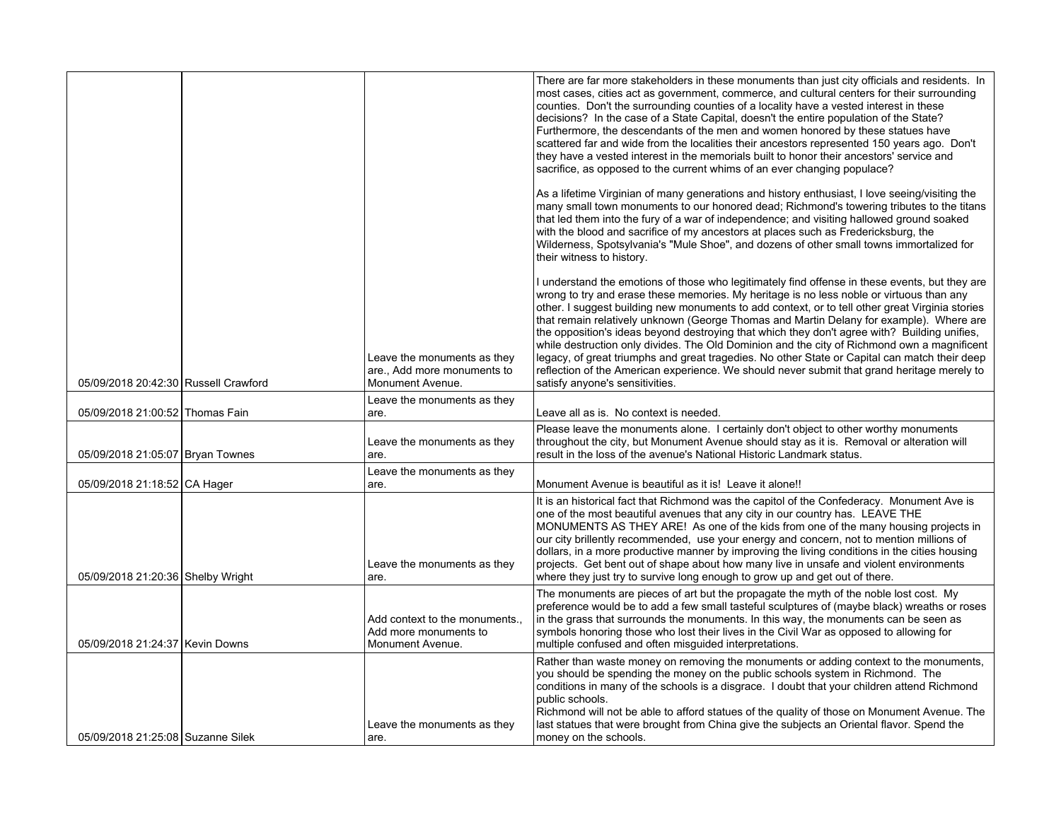|                                      |                                                                                | There are far more stakeholders in these monuments than just city officials and residents. In<br>most cases, cities act as government, commerce, and cultural centers for their surrounding<br>counties. Don't the surrounding counties of a locality have a vested interest in these<br>decisions? In the case of a State Capital, doesn't the entire population of the State?<br>Furthermore, the descendants of the men and women honored by these statues have<br>scattered far and wide from the localities their ancestors represented 150 years ago. Don't<br>they have a vested interest in the memorials built to honor their ancestors' service and<br>sacrifice, as opposed to the current whims of an ever changing populace?                                                                                  |
|--------------------------------------|--------------------------------------------------------------------------------|----------------------------------------------------------------------------------------------------------------------------------------------------------------------------------------------------------------------------------------------------------------------------------------------------------------------------------------------------------------------------------------------------------------------------------------------------------------------------------------------------------------------------------------------------------------------------------------------------------------------------------------------------------------------------------------------------------------------------------------------------------------------------------------------------------------------------|
|                                      |                                                                                | As a lifetime Virginian of many generations and history enthusiast, I love seeing/visiting the<br>many small town monuments to our honored dead; Richmond's towering tributes to the titans<br>that led them into the fury of a war of independence; and visiting hallowed ground soaked<br>with the blood and sacrifice of my ancestors at places such as Fredericksburg, the<br>Wilderness, Spotsylvania's "Mule Shoe", and dozens of other small towns immortalized for<br>their witness to history.                                                                                                                                                                                                                                                                                                                    |
| 05/09/2018 20:42:30 Russell Crawford | Leave the monuments as they<br>are., Add more monuments to<br>Monument Avenue. | I understand the emotions of those who legitimately find offense in these events, but they are<br>wrong to try and erase these memories. My heritage is no less noble or virtuous than any<br>other. I suggest building new monuments to add context, or to tell other great Virginia stories<br>that remain relatively unknown (George Thomas and Martin Delany for example). Where are<br>the opposition's ideas beyond destroying that which they don't agree with? Building unifies,<br>while destruction only divides. The Old Dominion and the city of Richmond own a magnificent<br>legacy, of great triumphs and great tragedies. No other State or Capital can match their deep<br>reflection of the American experience. We should never submit that grand heritage merely to<br>satisfy anyone's sensitivities. |
| 05/09/2018 21:00:52 Thomas Fain      | Leave the monuments as they<br>are.                                            | Leave all as is. No context is needed.                                                                                                                                                                                                                                                                                                                                                                                                                                                                                                                                                                                                                                                                                                                                                                                     |
| 05/09/2018 21:05:07 Bryan Townes     | Leave the monuments as they<br>are.                                            | Please leave the monuments alone. I certainly don't object to other worthy monuments<br>throughout the city, but Monument Avenue should stay as it is. Removal or alteration will<br>result in the loss of the avenue's National Historic Landmark status.                                                                                                                                                                                                                                                                                                                                                                                                                                                                                                                                                                 |
| 05/09/2018 21:18:52 CA Hager         | Leave the monuments as they<br>are.                                            | Monument Avenue is beautiful as it is! Leave it alone!!                                                                                                                                                                                                                                                                                                                                                                                                                                                                                                                                                                                                                                                                                                                                                                    |
| 05/09/2018 21:20:36 Shelby Wright    | Leave the monuments as they<br>are.                                            | It is an historical fact that Richmond was the capitol of the Confederacy. Monument Ave is<br>one of the most beautiful avenues that any city in our country has. LEAVE THE<br>MONUMENTS AS THEY ARE! As one of the kids from one of the many housing projects in<br>our city brillently recommended, use your energy and concern, not to mention millions of<br>dollars, in a more productive manner by improving the living conditions in the cities housing<br>projects. Get bent out of shape about how many live in unsafe and violent environments<br>where they just try to survive long enough to grow up and get out of there.                                                                                                                                                                                    |
| 05/09/2018 21:24:37 Kevin Downs      | Add context to the monuments.,<br>Add more monuments to<br>Monument Avenue.    | The monuments are pieces of art but the propagate the myth of the noble lost cost. My<br>preference would be to add a few small tasteful sculptures of (maybe black) wreaths or roses<br>in the grass that surrounds the monuments. In this way, the monuments can be seen as<br>symbols honoring those who lost their lives in the Civil War as opposed to allowing for<br>multiple confused and often misquided interpretations.                                                                                                                                                                                                                                                                                                                                                                                         |
| 05/09/2018 21:25:08 Suzanne Silek    | Leave the monuments as they<br>are.                                            | Rather than waste money on removing the monuments or adding context to the monuments,<br>you should be spending the money on the public schools system in Richmond. The<br>conditions in many of the schools is a disgrace. I doubt that your children attend Richmond<br>public schools.<br>Richmond will not be able to afford statues of the quality of those on Monument Avenue. The<br>last statues that were brought from China give the subjects an Oriental flavor. Spend the<br>money on the schools.                                                                                                                                                                                                                                                                                                             |
|                                      |                                                                                |                                                                                                                                                                                                                                                                                                                                                                                                                                                                                                                                                                                                                                                                                                                                                                                                                            |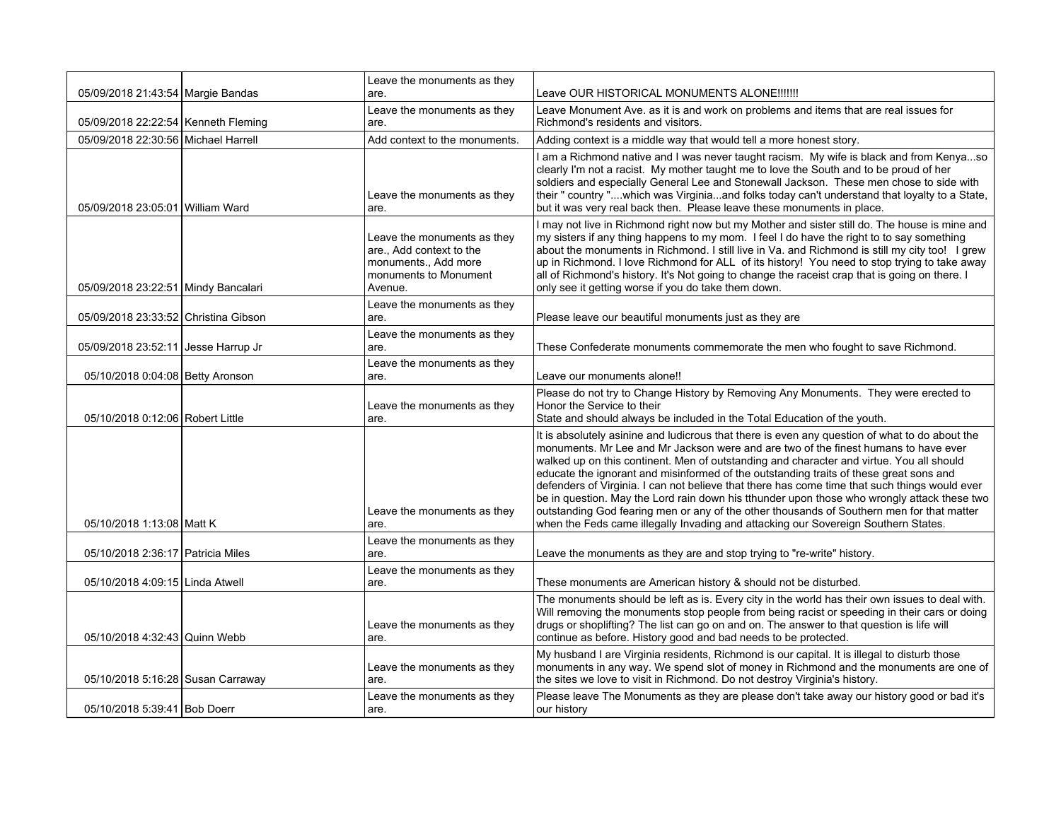|                                       | Leave the monuments as they                                                                                         |                                                                                                                                                                                                                                                                                                                                                                                                                                                                                                                                                                                                                                                                                                                                                                |
|---------------------------------------|---------------------------------------------------------------------------------------------------------------------|----------------------------------------------------------------------------------------------------------------------------------------------------------------------------------------------------------------------------------------------------------------------------------------------------------------------------------------------------------------------------------------------------------------------------------------------------------------------------------------------------------------------------------------------------------------------------------------------------------------------------------------------------------------------------------------------------------------------------------------------------------------|
| 05/09/2018 21:43:54 Margie Bandas     | are.                                                                                                                | Leave OUR HISTORICAL MONUMENTS ALONE!!!!!!!                                                                                                                                                                                                                                                                                                                                                                                                                                                                                                                                                                                                                                                                                                                    |
| 05/09/2018 22:22:54   Kenneth Fleming | Leave the monuments as they<br>are.                                                                                 | Leave Monument Ave. as it is and work on problems and items that are real issues for<br>Richmond's residents and visitors.                                                                                                                                                                                                                                                                                                                                                                                                                                                                                                                                                                                                                                     |
| 05/09/2018 22:30:56 Michael Harrell   | Add context to the monuments.                                                                                       | Adding context is a middle way that would tell a more honest story.                                                                                                                                                                                                                                                                                                                                                                                                                                                                                                                                                                                                                                                                                            |
| 05/09/2018 23:05:01 William Ward      | Leave the monuments as they<br>are.                                                                                 | I am a Richmond native and I was never taught racism. My wife is black and from Kenyaso<br>clearly I'm not a racist. My mother taught me to love the South and to be proud of her<br>soldiers and especially General Lee and Stonewall Jackson. These men chose to side with<br>their " country "which was Virginiaand folks today can't understand that loyalty to a State,<br>but it was very real back then. Please leave these monuments in place.                                                                                                                                                                                                                                                                                                         |
| 05/09/2018 23:22:51 Mindy Bancalari   | Leave the monuments as they<br>are., Add context to the<br>monuments., Add more<br>monuments to Monument<br>Avenue. | I may not live in Richmond right now but my Mother and sister still do. The house is mine and<br>my sisters if any thing happens to my mom. I feel I do have the right to to say something<br>about the monuments in Richmond. I still live in Va. and Richmond is still my city too! I grew<br>up in Richmond. I love Richmond for ALL of its history! You need to stop trying to take away<br>all of Richmond's history. It's Not going to change the raceist crap that is going on there. I<br>only see it getting worse if you do take them down.                                                                                                                                                                                                          |
| 05/09/2018 23:33:52 Christina Gibson  | Leave the monuments as they<br>are.                                                                                 | Please leave our beautiful monuments just as they are                                                                                                                                                                                                                                                                                                                                                                                                                                                                                                                                                                                                                                                                                                          |
| 05/09/2018 23:52:11 Jesse Harrup Jr   | Leave the monuments as they<br>are.                                                                                 | These Confederate monuments commemorate the men who fought to save Richmond.                                                                                                                                                                                                                                                                                                                                                                                                                                                                                                                                                                                                                                                                                   |
| 05/10/2018 0:04:08 Betty Aronson      | Leave the monuments as they<br>are.                                                                                 | Leave our monuments alone!!                                                                                                                                                                                                                                                                                                                                                                                                                                                                                                                                                                                                                                                                                                                                    |
| 05/10/2018 0:12:06 Robert Little      | Leave the monuments as they<br>are.                                                                                 | Please do not try to Change History by Removing Any Monuments. They were erected to<br>Honor the Service to their<br>State and should always be included in the Total Education of the youth.                                                                                                                                                                                                                                                                                                                                                                                                                                                                                                                                                                  |
| 05/10/2018 1:13:08 Matt K             | Leave the monuments as they<br>are.                                                                                 | It is absolutely asinine and ludicrous that there is even any question of what to do about the<br>monuments. Mr Lee and Mr Jackson were and are two of the finest humans to have ever<br>walked up on this continent. Men of outstanding and character and virtue. You all should<br>educate the ignorant and misinformed of the outstanding traits of these great sons and<br>defenders of Virginia. I can not believe that there has come time that such things would ever<br>be in question. May the Lord rain down his tthunder upon those who wrongly attack these two<br>outstanding God fearing men or any of the other thousands of Southern men for that matter<br>when the Feds came illegally Invading and attacking our Sovereign Southern States. |
| 05/10/2018 2:36:17 Patricia Miles     | Leave the monuments as they<br>are.                                                                                 | Leave the monuments as they are and stop trying to "re-write" history.                                                                                                                                                                                                                                                                                                                                                                                                                                                                                                                                                                                                                                                                                         |
| 05/10/2018 4:09:15 Linda Atwell       | Leave the monuments as they<br>are.                                                                                 | These monuments are American history & should not be disturbed.                                                                                                                                                                                                                                                                                                                                                                                                                                                                                                                                                                                                                                                                                                |
| 05/10/2018 4:32:43 Quinn Webb         | Leave the monuments as they<br>are.                                                                                 | The monuments should be left as is. Every city in the world has their own issues to deal with.<br>Will removing the monuments stop people from being racist or speeding in their cars or doing<br>drugs or shoplifting? The list can go on and on. The answer to that question is life will<br>continue as before. History good and bad needs to be protected.                                                                                                                                                                                                                                                                                                                                                                                                 |
| 05/10/2018 5:16:28 Susan Carraway     | Leave the monuments as they<br>are.                                                                                 | My husband I are Virginia residents, Richmond is our capital. It is illegal to disturb those<br>monuments in any way. We spend slot of money in Richmond and the monuments are one of<br>the sites we love to visit in Richmond. Do not destroy Virginia's history.                                                                                                                                                                                                                                                                                                                                                                                                                                                                                            |
| 05/10/2018 5:39:41 Bob Doerr          | Leave the monuments as they<br>are.                                                                                 | Please leave The Monuments as they are please don't take away our history good or bad it's<br>our history                                                                                                                                                                                                                                                                                                                                                                                                                                                                                                                                                                                                                                                      |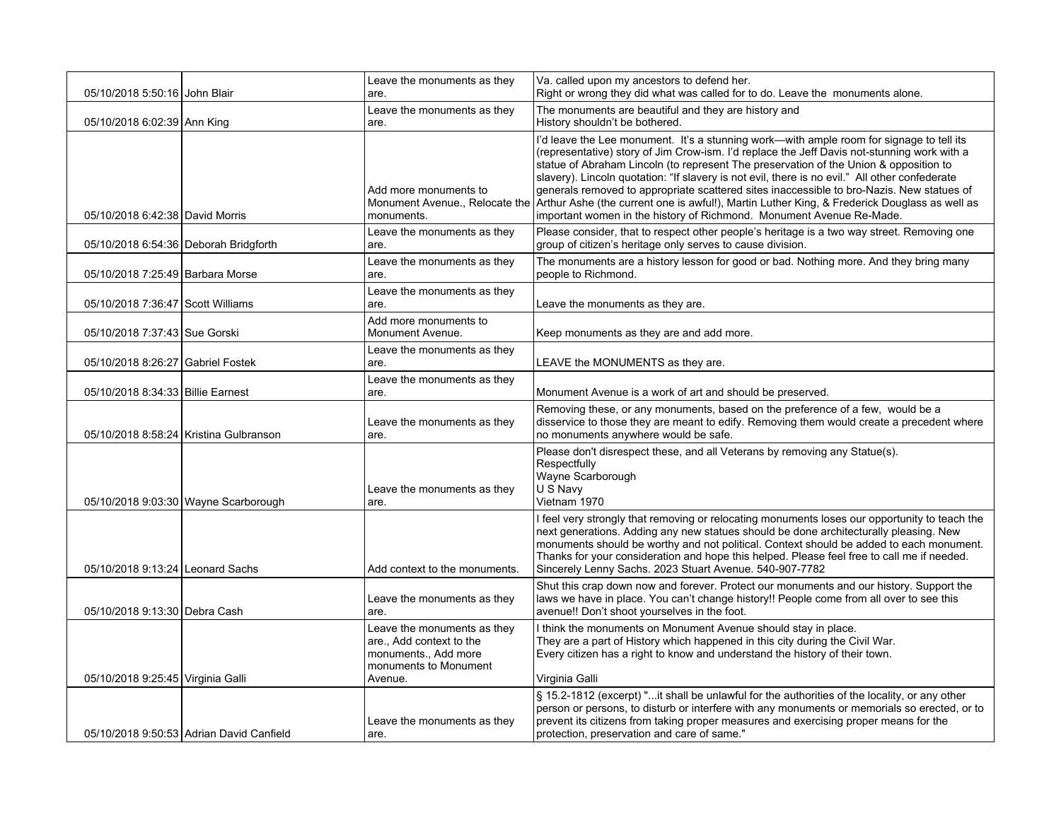| 05/10/2018 5:50:16 John Blair           |                                          | Leave the monuments as they<br>are.                                                                                 | Va. called upon my ancestors to defend her.<br>Right or wrong they did what was called for to do. Leave the monuments alone.                                                                                                                                                                                                                                                                                                                                                                                                                                                                                                                                                           |
|-----------------------------------------|------------------------------------------|---------------------------------------------------------------------------------------------------------------------|----------------------------------------------------------------------------------------------------------------------------------------------------------------------------------------------------------------------------------------------------------------------------------------------------------------------------------------------------------------------------------------------------------------------------------------------------------------------------------------------------------------------------------------------------------------------------------------------------------------------------------------------------------------------------------------|
|                                         |                                          | Leave the monuments as they                                                                                         | The monuments are beautiful and they are history and                                                                                                                                                                                                                                                                                                                                                                                                                                                                                                                                                                                                                                   |
| 05/10/2018 6:02:39 Ann King             |                                          | are.                                                                                                                | History shouldn't be bothered.                                                                                                                                                                                                                                                                                                                                                                                                                                                                                                                                                                                                                                                         |
| 05/10/2018 6:42:38 David Morris         |                                          | Add more monuments to<br>monuments.                                                                                 | I'd leave the Lee monument. It's a stunning work-with ample room for signage to tell its<br>(representative) story of Jim Crow-ism. I'd replace the Jeff Davis not-stunning work with a<br>statue of Abraham Lincoln (to represent The preservation of the Union & opposition to<br>slavery). Lincoln quotation: "If slavery is not evil, there is no evil." All other confederate<br>generals removed to appropriate scattered sites inaccessible to bro-Nazis. New statues of<br>Monument Avenue., Relocate the Arthur Ashe (the current one is awful!), Martin Luther King, & Frederick Douglass as well as<br>important women in the history of Richmond. Monument Avenue Re-Made. |
| 05/10/2018 6:54:36   Deborah Bridgforth |                                          | Leave the monuments as they<br>are.                                                                                 | Please consider, that to respect other people's heritage is a two way street. Removing one<br>group of citizen's heritage only serves to cause division.                                                                                                                                                                                                                                                                                                                                                                                                                                                                                                                               |
| 05/10/2018 7:25:49 Barbara Morse        |                                          | Leave the monuments as they<br>are.                                                                                 | The monuments are a history lesson for good or bad. Nothing more. And they bring many<br>people to Richmond.                                                                                                                                                                                                                                                                                                                                                                                                                                                                                                                                                                           |
| 05/10/2018 7:36:47 Scott Williams       |                                          | Leave the monuments as they<br>are.                                                                                 | Leave the monuments as they are.                                                                                                                                                                                                                                                                                                                                                                                                                                                                                                                                                                                                                                                       |
| 05/10/2018 7:37:43 Sue Gorski           |                                          | Add more monuments to<br>Monument Avenue.                                                                           | Keep monuments as they are and add more.                                                                                                                                                                                                                                                                                                                                                                                                                                                                                                                                                                                                                                               |
| 05/10/2018 8:26:27 Gabriel Fostek       |                                          | Leave the monuments as they<br>are.                                                                                 | LEAVE the MONUMENTS as they are.                                                                                                                                                                                                                                                                                                                                                                                                                                                                                                                                                                                                                                                       |
| 05/10/2018 8:34:33 Billie Earnest       |                                          | Leave the monuments as they<br>are.                                                                                 | Monument Avenue is a work of art and should be preserved.                                                                                                                                                                                                                                                                                                                                                                                                                                                                                                                                                                                                                              |
|                                         | 05/10/2018 8:58:24 Kristina Gulbranson   | Leave the monuments as they<br>are.                                                                                 | Removing these, or any monuments, based on the preference of a few, would be a<br>disservice to those they are meant to edify. Removing them would create a precedent where<br>no monuments anywhere would be safe.                                                                                                                                                                                                                                                                                                                                                                                                                                                                    |
|                                         | 05/10/2018 9:03:30 Wayne Scarborough     | Leave the monuments as they<br>are.                                                                                 | Please don't disrespect these, and all Veterans by removing any Statue(s).<br>Respectfully<br>Wayne Scarborough<br>U S Navy<br>Vietnam 1970                                                                                                                                                                                                                                                                                                                                                                                                                                                                                                                                            |
| 05/10/2018 9:13:24 Leonard Sachs        |                                          | Add context to the monuments.                                                                                       | I feel very strongly that removing or relocating monuments loses our opportunity to teach the<br>next generations. Adding any new statues should be done architecturally pleasing. New<br>monuments should be worthy and not political. Context should be added to each monument.<br>Thanks for your consideration and hope this helped. Please feel free to call me if needed.<br>Sincerely Lenny Sachs. 2023 Stuart Avenue. 540-907-7782                                                                                                                                                                                                                                             |
| 05/10/2018 9:13:30 Debra Cash           |                                          | Leave the monuments as they<br>are.                                                                                 | Shut this crap down now and forever. Protect our monuments and our history. Support the<br>laws we have in place. You can't change history!! People come from all over to see this<br>avenue!! Don't shoot yourselves in the foot.                                                                                                                                                                                                                                                                                                                                                                                                                                                     |
| 05/10/2018 9:25:45 Virginia Galli       |                                          | Leave the monuments as they<br>are., Add context to the<br>monuments., Add more<br>monuments to Monument<br>Avenue. | I think the monuments on Monument Avenue should stay in place.<br>They are a part of History which happened in this city during the Civil War.<br>Every citizen has a right to know and understand the history of their town.<br>Virginia Galli                                                                                                                                                                                                                                                                                                                                                                                                                                        |
|                                         | 05/10/2018 9:50:53 Adrian David Canfield | Leave the monuments as they<br>are.                                                                                 | § 15.2-1812 (excerpt) "it shall be unlawful for the authorities of the locality, or any other<br>person or persons, to disturb or interfere with any monuments or memorials so erected, or to<br>prevent its citizens from taking proper measures and exercising proper means for the<br>protection, preservation and care of same."                                                                                                                                                                                                                                                                                                                                                   |